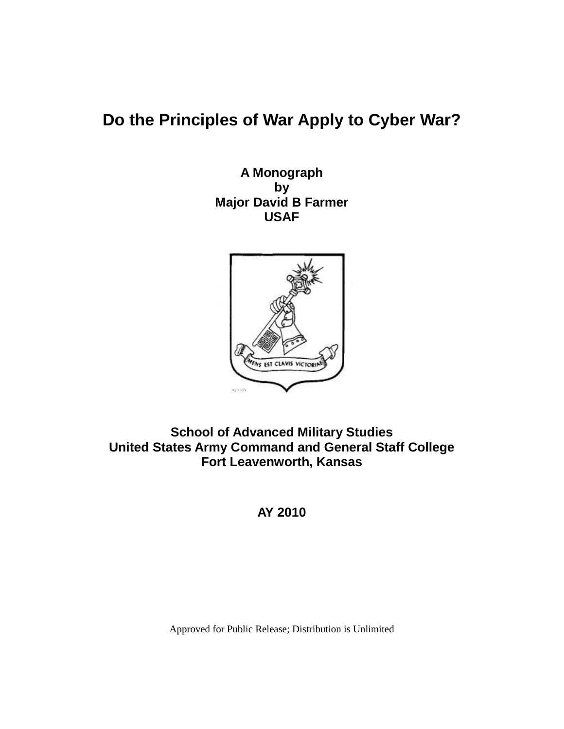# **Do the Principles of War Apply to Cyber War?**

**A Monograph by Major David B Farmer USAF**



**School of Advanced Military Studies United States Army Command and General Staff College Fort Leavenworth, Kansas**

**AY 2010**

Approved for Public Release; Distribution is Unlimited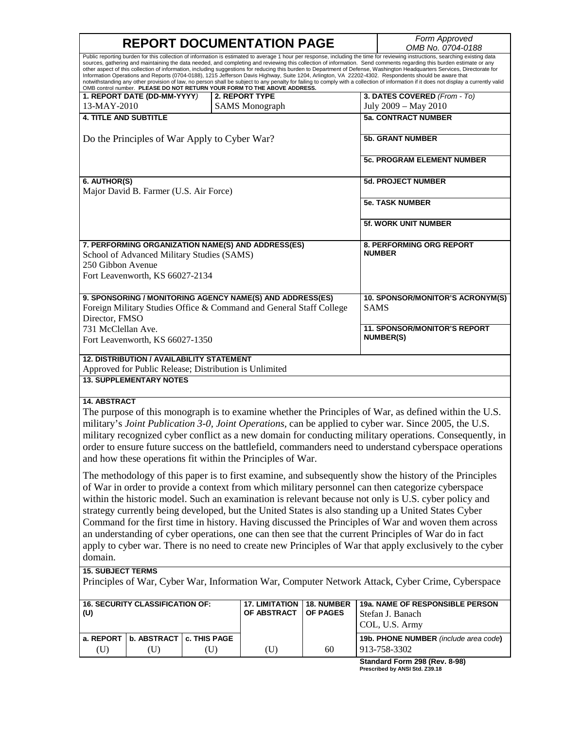r

٦

| <b>REPORT DOCUMENTATION PAGE</b>                                                                                                                                                                                                                                                                                                                                                                                                                                                                                                                                                                                                                                                                                                                                                                                                                                                                                                                                                       | Form Approved                                                                                                                                                                                                                                                                                                                                                                                                                                                                                                                                                                                                                                                                                                                                         |                                                                                                         |  |  |  |
|----------------------------------------------------------------------------------------------------------------------------------------------------------------------------------------------------------------------------------------------------------------------------------------------------------------------------------------------------------------------------------------------------------------------------------------------------------------------------------------------------------------------------------------------------------------------------------------------------------------------------------------------------------------------------------------------------------------------------------------------------------------------------------------------------------------------------------------------------------------------------------------------------------------------------------------------------------------------------------------|-------------------------------------------------------------------------------------------------------------------------------------------------------------------------------------------------------------------------------------------------------------------------------------------------------------------------------------------------------------------------------------------------------------------------------------------------------------------------------------------------------------------------------------------------------------------------------------------------------------------------------------------------------------------------------------------------------------------------------------------------------|---------------------------------------------------------------------------------------------------------|--|--|--|
| OMB No. 0704-0188<br>Public reporting burden for this collection of information is estimated to average 1 hour per response, including the time for reviewing instructions, searching existing data<br>sources, gathering and maintaining the data needed, and completing and reviewing this collection of information. Send comments regarding this burden estimate or any<br>other aspect of this collection of information, including suggestions for reducing this burden to Department of Defense, Washington Headquarters Services, Directorate for<br>Information Operations and Reports (0704-0188), 1215 Jefferson Davis Highway, Suite 1204, Arlington, VA 22202-4302. Respondents should be aware that<br>notwithstanding any other provision of law, no person shall be subject to any penalty for failing to comply with a collection of information if it does not display a currently valid<br>OMB control number. PLEASE DO NOT RETURN YOUR FORM TO THE ABOVE ADDRESS. |                                                                                                                                                                                                                                                                                                                                                                                                                                                                                                                                                                                                                                                                                                                                                       |                                                                                                         |  |  |  |
| 1. REPORT DATE (DD-MM-YYYY)                                                                                                                                                                                                                                                                                                                                                                                                                                                                                                                                                                                                                                                                                                                                                                                                                                                                                                                                                            | 3. DATES COVERED (From - To)<br>2. REPORT TYPE                                                                                                                                                                                                                                                                                                                                                                                                                                                                                                                                                                                                                                                                                                        |                                                                                                         |  |  |  |
| 13-MAY-2010<br><b>SAMS</b> Monograph                                                                                                                                                                                                                                                                                                                                                                                                                                                                                                                                                                                                                                                                                                                                                                                                                                                                                                                                                   |                                                                                                                                                                                                                                                                                                                                                                                                                                                                                                                                                                                                                                                                                                                                                       | July 2009 - May 2010                                                                                    |  |  |  |
| <b>4. TITLE AND SUBTITLE</b>                                                                                                                                                                                                                                                                                                                                                                                                                                                                                                                                                                                                                                                                                                                                                                                                                                                                                                                                                           | <b>5a. CONTRACT NUMBER</b>                                                                                                                                                                                                                                                                                                                                                                                                                                                                                                                                                                                                                                                                                                                            |                                                                                                         |  |  |  |
| Do the Principles of War Apply to Cyber War?                                                                                                                                                                                                                                                                                                                                                                                                                                                                                                                                                                                                                                                                                                                                                                                                                                                                                                                                           |                                                                                                                                                                                                                                                                                                                                                                                                                                                                                                                                                                                                                                                                                                                                                       | <b>5b. GRANT NUMBER</b>                                                                                 |  |  |  |
|                                                                                                                                                                                                                                                                                                                                                                                                                                                                                                                                                                                                                                                                                                                                                                                                                                                                                                                                                                                        |                                                                                                                                                                                                                                                                                                                                                                                                                                                                                                                                                                                                                                                                                                                                                       | <b>5c. PROGRAM ELEMENT NUMBER</b>                                                                       |  |  |  |
| 6. AUTHOR(S)<br>Major David B. Farmer (U.S. Air Force)                                                                                                                                                                                                                                                                                                                                                                                                                                                                                                                                                                                                                                                                                                                                                                                                                                                                                                                                 |                                                                                                                                                                                                                                                                                                                                                                                                                                                                                                                                                                                                                                                                                                                                                       | <b>5d. PROJECT NUMBER</b>                                                                               |  |  |  |
|                                                                                                                                                                                                                                                                                                                                                                                                                                                                                                                                                                                                                                                                                                                                                                                                                                                                                                                                                                                        |                                                                                                                                                                                                                                                                                                                                                                                                                                                                                                                                                                                                                                                                                                                                                       | <b>5e. TASK NUMBER</b>                                                                                  |  |  |  |
|                                                                                                                                                                                                                                                                                                                                                                                                                                                                                                                                                                                                                                                                                                                                                                                                                                                                                                                                                                                        |                                                                                                                                                                                                                                                                                                                                                                                                                                                                                                                                                                                                                                                                                                                                                       | <b>5f. WORK UNIT NUMBER</b>                                                                             |  |  |  |
| 7. PERFORMING ORGANIZATION NAME(S) AND ADDRESS(ES)<br>School of Advanced Military Studies (SAMS)<br>250 Gibbon Avenue<br>Fort Leavenworth, KS 66027-2134                                                                                                                                                                                                                                                                                                                                                                                                                                                                                                                                                                                                                                                                                                                                                                                                                               | 8. PERFORMING ORG REPORT<br><b>NUMBER</b>                                                                                                                                                                                                                                                                                                                                                                                                                                                                                                                                                                                                                                                                                                             |                                                                                                         |  |  |  |
| 9. SPONSORING / MONITORING AGENCY NAME(S) AND ADDRESS(ES)<br>Foreign Military Studies Office & Command and General Staff College<br>Director, FMSO<br>731 McClellan Ave.<br>Fort Leavenworth, KS 66027-1350                                                                                                                                                                                                                                                                                                                                                                                                                                                                                                                                                                                                                                                                                                                                                                            | 10. SPONSOR/MONITOR'S ACRONYM(S)<br>SAMS<br><b>11. SPONSOR/MONITOR'S REPORT</b><br><b>NUMBER(S)</b>                                                                                                                                                                                                                                                                                                                                                                                                                                                                                                                                                                                                                                                   |                                                                                                         |  |  |  |
| <b>12. DISTRIBUTION / AVAILABILITY STATEMENT</b><br>Approved for Public Release; Distribution is Unlimited<br><b>13. SUPPLEMENTARY NOTES</b><br><b>14. ABSTRACT</b><br>The purpose of this monograph is to examine whether the Principles of War, as defined within the U.S.                                                                                                                                                                                                                                                                                                                                                                                                                                                                                                                                                                                                                                                                                                           |                                                                                                                                                                                                                                                                                                                                                                                                                                                                                                                                                                                                                                                                                                                                                       |                                                                                                         |  |  |  |
| and how these operations fit within the Principles of War.                                                                                                                                                                                                                                                                                                                                                                                                                                                                                                                                                                                                                                                                                                                                                                                                                                                                                                                             | military's Joint Publication 3-0, Joint Operations, can be applied to cyber war. Since 2005, the U.S.<br>order to ensure future success on the battlefield, commanders need to understand cyberspace operations                                                                                                                                                                                                                                                                                                                                                                                                                                                                                                                                       | military recognized cyber conflict as a new domain for conducting military operations. Consequently, in |  |  |  |
| domain.                                                                                                                                                                                                                                                                                                                                                                                                                                                                                                                                                                                                                                                                                                                                                                                                                                                                                                                                                                                | The methodology of this paper is to first examine, and subsequently show the history of the Principles<br>of War in order to provide a context from which military personnel can then categorize cyberspace<br>within the historic model. Such an examination is relevant because not only is U.S. cyber policy and<br>strategy currently being developed, but the United States is also standing up a United States Cyber<br>Command for the first time in history. Having discussed the Principles of War and woven them across<br>an understanding of cyber operations, one can then see that the current Principles of War do in fact<br>apply to cyber war. There is no need to create new Principles of War that apply exclusively to the cyber |                                                                                                         |  |  |  |
| <b>15. SUBJECT TERMS</b>                                                                                                                                                                                                                                                                                                                                                                                                                                                                                                                                                                                                                                                                                                                                                                                                                                                                                                                                                               | Principles of War, Cyber War, Information War, Computer Network Attack, Cyber Crime, Cyberspace                                                                                                                                                                                                                                                                                                                                                                                                                                                                                                                                                                                                                                                       |                                                                                                         |  |  |  |

| <b>16. SECURITY CLASSIFICATION OF:</b><br>(U) |                                        | 17. LIMITATION   18. NUMBER<br>OF ABSTRACT | <b>OF PAGES</b> | <b>19a. NAME OF RESPONSIBLE PERSON</b><br>Stefan J. Banach<br>COL, U.S. Army |                                       |
|-----------------------------------------------|----------------------------------------|--------------------------------------------|-----------------|------------------------------------------------------------------------------|---------------------------------------|
|                                               | a. REPORT   b. ABSTRACT   c. THIS PAGE |                                            |                 |                                                                              | 19b. PHONE NUMBER (include area code) |
| U)                                            | (U)                                    | (U)                                        | (U)             | 60                                                                           | 913-758-3302                          |
|                                               |                                        |                                            |                 |                                                                              | Standard Form 298 (Rev. 8-98)         |

**Standard Form 298 (Rev. 8-98) Prescribed by ANSI Std. Z39.18**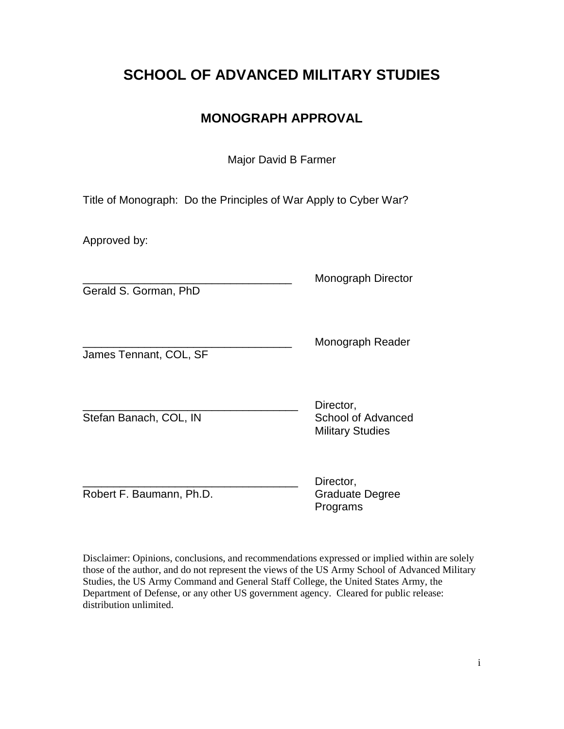# **SCHOOL OF ADVANCED MILITARY STUDIES**

# **MONOGRAPH APPROVAL**

Major David B Farmer

Title of Monograph: Do the Principles of War Apply to Cyber War?

Approved by:

Gerald S. Gorman, PhD

\_\_\_\_\_\_\_\_\_\_\_\_\_\_\_\_\_\_\_\_\_\_\_\_\_\_\_\_\_\_\_\_\_\_ Monograph Director

James Tennant, COL, SF

\_\_\_\_\_\_\_\_\_\_\_\_\_\_\_\_\_\_\_\_\_\_\_\_\_\_\_\_\_\_\_\_\_\_ Monograph Reader

Stefan Banach, COL, IN School of Advanced

Director, Military Studies

Robert F. Baumann, Ph.D. Graduate Degree

Director, Programs

Disclaimer: Opinions, conclusions, and recommendations expressed or implied within are solely those of the author, and do not represent the views of the US Army School of Advanced Military Studies, the US Army Command and General Staff College, the United States Army, the Department of Defense, or any other US government agency. Cleared for public release: distribution unlimited.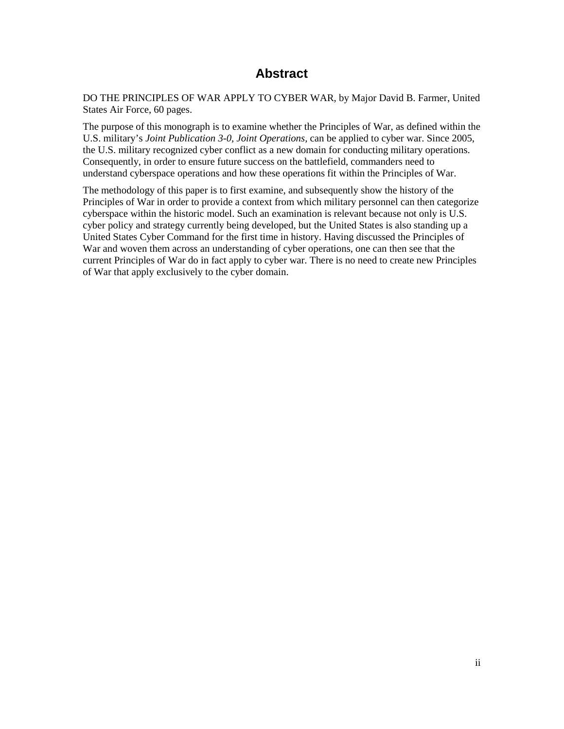# **Abstract**

<span id="page-3-0"></span>DO THE PRINCIPLES OF WAR APPLY TO CYBER WAR, by Major David B. Farmer, United States Air Force, 60 pages.

The purpose of this monograph is to examine whether the Principles of War, as defined within the U.S. military's *Joint Publication 3-0, Joint Operations,* can be applied to cyber war. Since 2005, the U.S. military recognized cyber conflict as a new domain for conducting military operations. Consequently, in order to ensure future success on the battlefield, commanders need to understand cyberspace operations and how these operations fit within the Principles of War.

The methodology of this paper is to first examine, and subsequently show the history of the Principles of War in order to provide a context from which military personnel can then categorize cyberspace within the historic model. Such an examination is relevant because not only is U.S. cyber policy and strategy currently being developed, but the United States is also standing up a United States Cyber Command for the first time in history. Having discussed the Principles of War and woven them across an understanding of cyber operations, one can then see that the current Principles of War do in fact apply to cyber war. There is no need to create new Principles of War that apply exclusively to the cyber domain.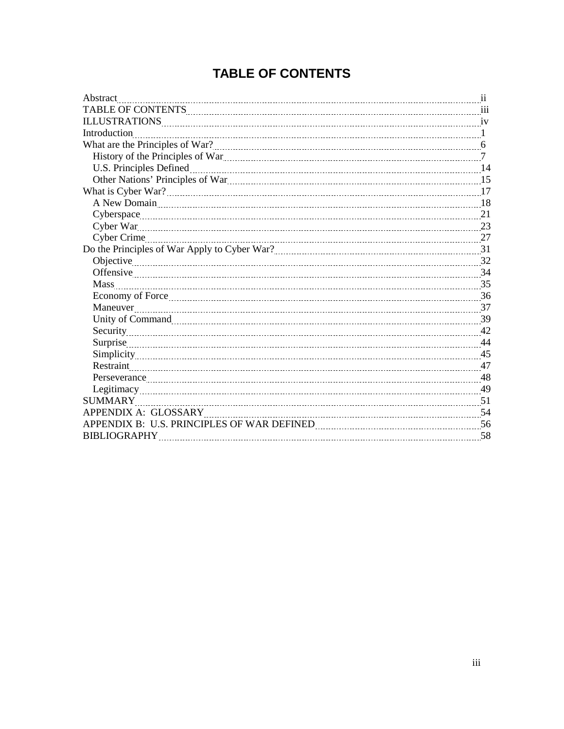# **TABLE OF CONTENTS**

<span id="page-4-0"></span>

| Abstract                                                                                                                                                                                                                       |  |
|--------------------------------------------------------------------------------------------------------------------------------------------------------------------------------------------------------------------------------|--|
|                                                                                                                                                                                                                                |  |
|                                                                                                                                                                                                                                |  |
| Introduction                                                                                                                                                                                                                   |  |
|                                                                                                                                                                                                                                |  |
| History of the Principles of War 2000 Married Communications and the Principles of War 2000 Married Communications and 2000 Married Communications and 2000 Married Communications and 2000 Married Communications and 2000 Ma |  |
|                                                                                                                                                                                                                                |  |
|                                                                                                                                                                                                                                |  |
|                                                                                                                                                                                                                                |  |
| A New Domain 18                                                                                                                                                                                                                |  |
|                                                                                                                                                                                                                                |  |
| Cyber War 23                                                                                                                                                                                                                   |  |
|                                                                                                                                                                                                                                |  |
|                                                                                                                                                                                                                                |  |
|                                                                                                                                                                                                                                |  |
| Offensive 24                                                                                                                                                                                                                   |  |
|                                                                                                                                                                                                                                |  |
|                                                                                                                                                                                                                                |  |
| Maneuver 27                                                                                                                                                                                                                    |  |
|                                                                                                                                                                                                                                |  |
|                                                                                                                                                                                                                                |  |
| Surprise 244                                                                                                                                                                                                                   |  |
|                                                                                                                                                                                                                                |  |
|                                                                                                                                                                                                                                |  |
| Perseverance 28                                                                                                                                                                                                                |  |
|                                                                                                                                                                                                                                |  |
|                                                                                                                                                                                                                                |  |
| APPENDIX A: GLOSSARY                                                                                                                                                                                                           |  |
|                                                                                                                                                                                                                                |  |
| BIBLIOGRAPHY Electron Communication and Communication and Communication and Communication and Communication 58                                                                                                                 |  |
|                                                                                                                                                                                                                                |  |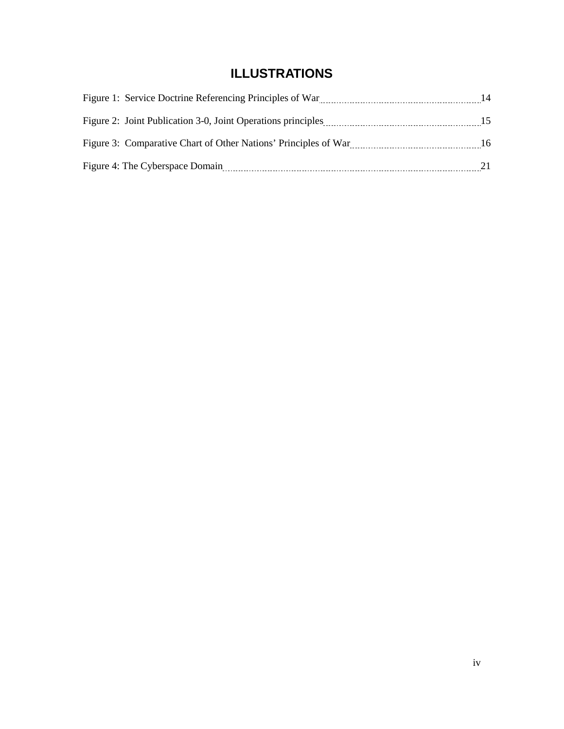# **ILLUSTRATIONS**

<span id="page-5-0"></span>

| Figure 1: Service Doctrine Referencing Principles of War        | 14  |
|-----------------------------------------------------------------|-----|
|                                                                 | 15  |
| Figure 3: Comparative Chart of Other Nations' Principles of War | -16 |
| Figure 4: The Cyberspace Domain                                 | 21  |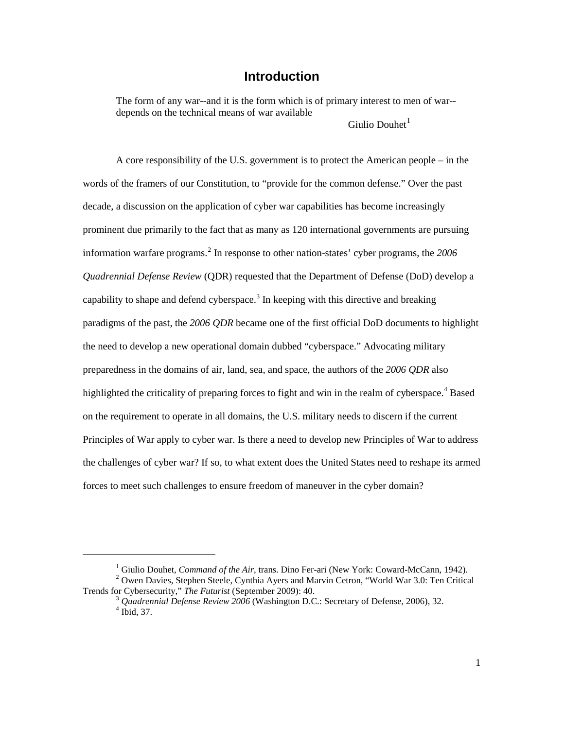### **Introduction**

<span id="page-6-0"></span>The form of any war--and it is the form which is of primary interest to men of war- depends on the technical means of war available Giulio Douhet $<sup>1</sup>$  $<sup>1</sup>$  $<sup>1</sup>$ </sup>

A core responsibility of the U.S. government is to protect the American people – in the words of the framers of our Constitution, to "provide for the common defense." Over the past decade, a discussion on the application of cyber war capabilities has become increasingly prominent due primarily to the fact that as many as 120 international governments are pursuing information warfare programs.<sup>[2](#page-6-2)</sup> In response to other nation-states' cyber programs, the 2006 *Quadrennial Defense Review* (QDR) requested that the Department of Defense (DoD) develop a capability to shape and defend cyberspace.<sup>[3](#page-6-3)</sup> In keeping with this directive and breaking paradigms of the past, the *2006 QDR* became one of the first official DoD documents to highlight the need to develop a new operational domain dubbed "cyberspace." Advocating military preparedness in the domains of air, land, sea, and space, the authors of the *2006 QDR* also highlighted the criticality of preparing forces to fight and win in the realm of cyberspace.<sup>[4](#page-6-4)</sup> Based on the requirement to operate in all domains, the U.S. military needs to discern if the current Principles of War apply to cyber war. Is there a need to develop new Principles of War to address the challenges of cyber war? If so, to what extent does the United States need to reshape its armed forces to meet such challenges to ensure freedom of maneuver in the cyber domain?

<sup>&</sup>lt;sup>1</sup> Giulio Douhet, *Command of the Air*, trans. Dino Fer-ari (New York: Coward-McCann, 1942).

<span id="page-6-4"></span><span id="page-6-3"></span><span id="page-6-2"></span><span id="page-6-1"></span><sup>&</sup>lt;sup>2</sup> Owen Davies, Stephen Steele, Cynthia Ayers and Marvin Cetron, "World War 3.0: Ten Critical Trends for Cybersecurity," *The Futurist* (September 2009): 40.

<sup>&</sup>lt;sup>3</sup> Quadrennial Defense Review 2006 (Washington D.C.: Secretary of Defense, 2006), 32. <sup>4</sup> Ibid. 37.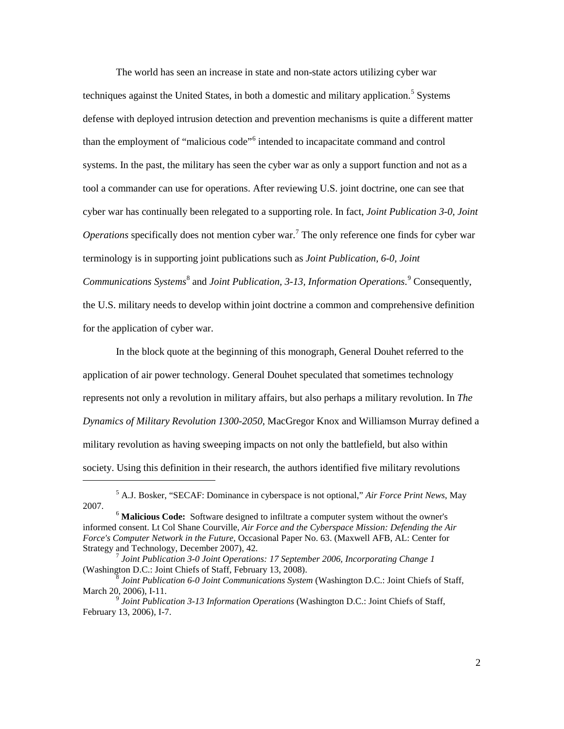The world has seen an increase in state and non-state actors utilizing cyber war techniques against the United States, in both a domestic and military application. [5](#page-7-0) Systems defense with deployed intrusion detection and prevention mechanisms is quite a different matter than the employment of "malicious code"<sup>[6](#page-7-1)</sup> intended to incapacitate command and control systems. In the past, the military has seen the cyber war as only a support function and not as a tool a commander can use for operations. After reviewing U.S. joint doctrine, one can see that cyber war has continually been relegated to a supporting role. In fact, *Joint Publication 3-0, Joint*  Operations specifically does not mention cyber war.<sup>[7](#page-7-2)</sup> The only reference one finds for cyber war terminology is in supporting joint publications such as *Joint Publication, 6-0, Joint*  Communications Systems<sup>[8](#page-7-3)</sup> and *Joint Publication, 3-13, Information Operations.*<sup>[9](#page-7-4)</sup> Consequently, the U.S. military needs to develop within joint doctrine a common and comprehensive definition for the application of cyber war.

In the block quote at the beginning of this monograph, General Douhet referred to the application of air power technology. General Douhet speculated that sometimes technology represents not only a revolution in military affairs, but also perhaps a military revolution. In *The Dynamics of Military Revolution 1300-2050*, MacGregor Knox and Williamson Murray defined a military revolution as having sweeping impacts on not only the battlefield, but also within society. Using this definition in their research, the authors identified five military revolutions

<span id="page-7-0"></span><sup>5</sup> A.J. Bosker, "SECAF: Dominance in cyberspace is not optional," *Air Force Print News*, May 2007. <sup>6</sup> **Malicious Code:** Software designed to infiltrate a computer system without the owner's

<span id="page-7-1"></span>informed consent. Lt Col Shane Courville, *Air Force and the Cyberspace Mission: Defending the Air Force's Computer Network in the Future*, Occasional Paper No. 63. (Maxwell AFB, AL: Center for

<span id="page-7-2"></span><sup>&</sup>lt;sup>7</sup> *Joint Publication 3-0 Joint Operations: 17 September 2006, Incorporating Change 1* (Washington D.C.: Joint Chiefs of Staff, February 13, 2008).

<span id="page-7-3"></span><sup>(</sup>Washington D.C.: Joint Chiefs of Staff, February 13, 2008). 8 *Joint Publication 6-0 Joint Communications System* (Washington D.C.: Joint Chiefs of Staff, March 20, 2006), I-11.<br><sup>9</sup> *Joint Publication 3-13 Information Operations* (Washington D.C.: Joint Chiefs of Staff,

<span id="page-7-4"></span>February 13, 2006), I-7.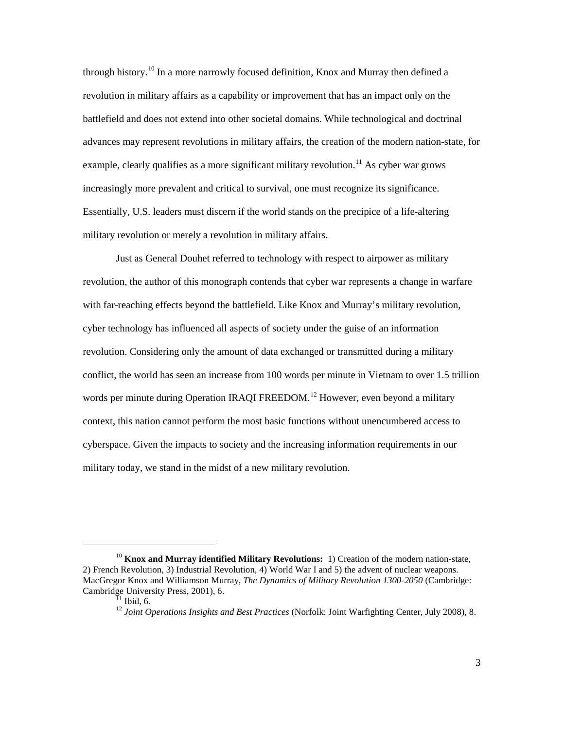through history.<sup>10</sup> In a more narrowly focused definition, Knox and Murray then defined a revolution in military affairs as a capability or improvement that has an impact only on the battlefield and does not extend into other societal domains. While technological and doctrinal advances may represent revolutions in military affairs, the creation of the modern nation-state, for example, clearly qualifies as a more significant military revolution.<sup>[11](#page-8-1)</sup> As cyber war grows increasingly more prevalent and critical to survival, one must recognize its significance. Essentially, U.S. leaders must discern if the world stands on the precipice of a life-altering military revolution or merely a revolution in military affairs.

Just as General Douhet referred to technology with respect to airpower as military revolution, the author of this monograph contends that cyber war represents a change in warfare with far-reaching effects beyond the battlefield. Like Knox and Murray's military revolution, cyber technology has influenced all aspects of society under the guise of an information revolution. Considering only the amount of data exchanged or transmitted during a military conflict, the world has seen an increase from 100 words per minute in Vietnam to over 1.5 trillion words per minute during Operation IRAQI FREEDOM.<sup>[12](#page-8-2)</sup> However, even beyond a military context, this nation cannot perform the most basic functions without unencumbered access to cyberspace. Given the impacts to society and the increasing information requirements in our military today, we stand in the midst of a new military revolution.

<span id="page-8-2"></span><span id="page-8-1"></span><span id="page-8-0"></span><sup>10</sup> **Knox and Murray identified Military Revolutions:** 1) Creation of the modern nation-state, 2) French Revolution, 3) Industrial Revolution, 4) World War I and 5) the advent of nuclear weapons. MacGregor Knox and Williamson Murray, *The Dynamics of Military Revolution 1300-2050* (Cambridge: Cambridge University Press, 2001), 6.

<sup>&</sup>lt;sup>11</sup> Ibid, 6.<br><sup>12</sup> *Joint Operations Insights and Best Practices* (Norfolk: Joint Warfighting Center, July 2008), 8.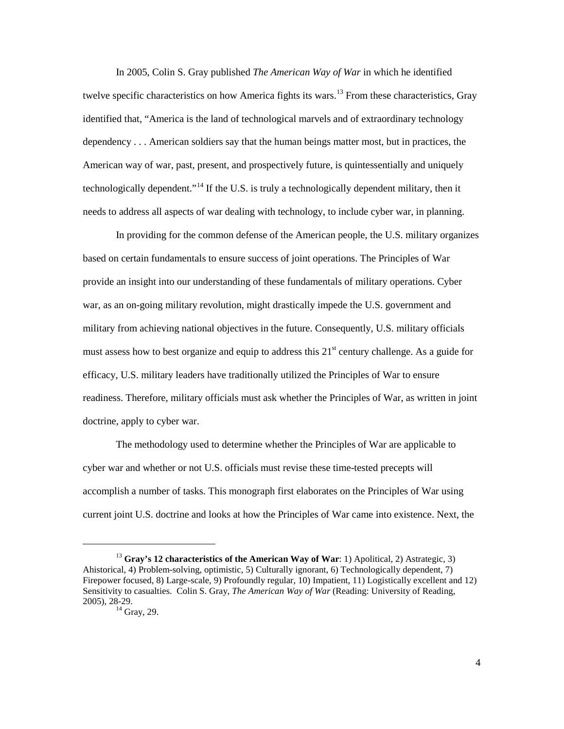In 2005, Colin S. Gray published *The American Way of War* in which he identified twelve specific characteristics on how America fights its wars.<sup>[13](#page-9-0)</sup> From these characteristics, Gray identified that, "America is the land of technological marvels and of extraordinary technology dependency . . . American soldiers say that the human beings matter most, but in practices, the American way of war, past, present, and prospectively future, is quintessentially and uniquely technologically dependent."<sup>[14](#page-9-1)</sup> If the U.S. is truly a technologically dependent military, then it needs to address all aspects of war dealing with technology, to include cyber war, in planning.

In providing for the common defense of the American people, the U.S. military organizes based on certain fundamentals to ensure success of joint operations. The Principles of War provide an insight into our understanding of these fundamentals of military operations. Cyber war, as an on-going military revolution, might drastically impede the U.S. government and military from achieving national objectives in the future. Consequently, U.S. military officials must assess how to best organize and equip to address this 21<sup>st</sup> century challenge. As a guide for efficacy, U.S. military leaders have traditionally utilized the Principles of War to ensure readiness. Therefore, military officials must ask whether the Principles of War, as written in joint doctrine, apply to cyber war.

The methodology used to determine whether the Principles of War are applicable to cyber war and whether or not U.S. officials must revise these time-tested precepts will accomplish a number of tasks. This monograph first elaborates on the Principles of War using current joint U.S. doctrine and looks at how the Principles of War came into existence. Next, the

<span id="page-9-1"></span><span id="page-9-0"></span><sup>13</sup> **Gray's 12 characteristics of the American Way of War**: 1) Apolitical, 2) Astrategic, 3) Ahistorical, 4) Problem-solving, optimistic, 5) Culturally ignorant, 6) Technologically dependent, 7) Firepower focused, 8) Large-scale, 9) Profoundly regular, 10) Impatient, 11) Logistically excellent and 12) Sensitivity to casualties. Colin S. Gray, *The American Way of War* (Reading: University of Reading,

 $14$  Gray, 29.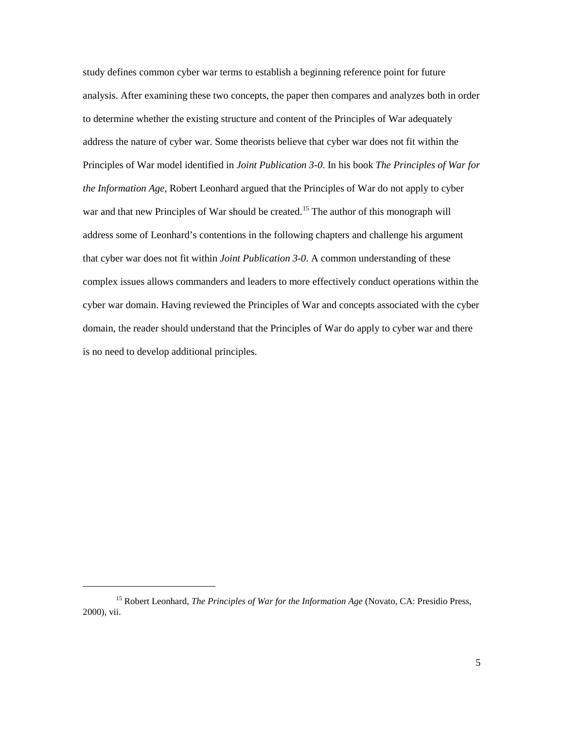study defines common cyber war terms to establish a beginning reference point for future analysis. After examining these two concepts, the paper then compares and analyzes both in order to determine whether the existing structure and content of the Principles of War adequately address the nature of cyber war. Some theorists believe that cyber war does not fit within the Principles of War model identified in *Joint Publication 3-0*. In his book *The Principles of War for the Information Age*, Robert Leonhard argued that the Principles of War do not apply to cyber war and that new Principles of War should be created.<sup>[15](#page-10-0)</sup> The author of this monograph will address some of Leonhard's contentions in the following chapters and challenge his argument that cyber war does not fit within *Joint Publication 3-0*. A common understanding of these complex issues allows commanders and leaders to more effectively conduct operations within the cyber war domain. Having reviewed the Principles of War and concepts associated with the cyber domain, the reader should understand that the Principles of War do apply to cyber war and there is no need to develop additional principles.

<span id="page-10-0"></span><sup>&</sup>lt;sup>15</sup> Robert Leonhard, *The Principles of War for the Information Age* (Novato, CA: Presidio Press, 2000), vii.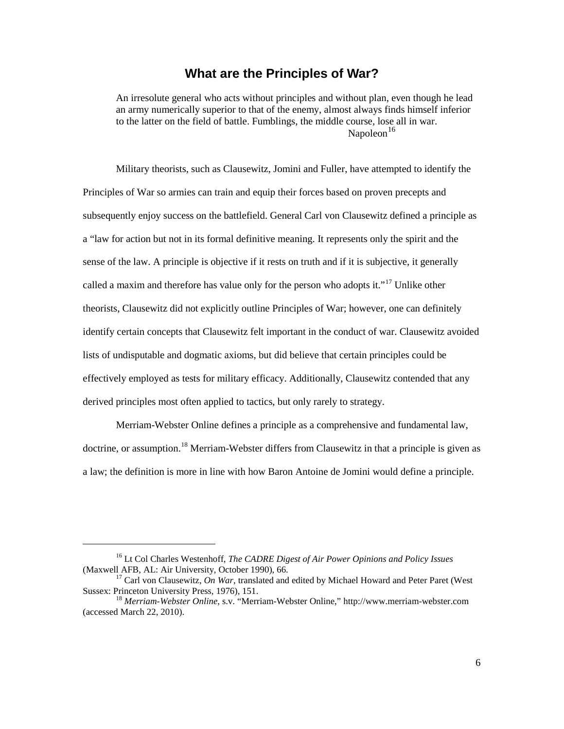### **What are the Principles of War?**

<span id="page-11-0"></span>An irresolute general who acts without principles and without plan, even though he lead an army numerically superior to that of the enemy, almost always finds himself inferior to the latter on the field of battle. Fumblings, the middle course, lose all in war. Napoleon $16$ 

Military theorists, such as Clausewitz, Jomini and Fuller, have attempted to identify the Principles of War so armies can train and equip their forces based on proven precepts and subsequently enjoy success on the battlefield. General Carl von Clausewitz defined a principle as a "law for action but not in its formal definitive meaning. It represents only the spirit and the sense of the law. A principle is objective if it rests on truth and if it is subjective, it generally called a maxim and therefore has value only for the person who adopts it."<sup>[17](#page-11-2)</sup> Unlike other theorists, Clausewitz did not explicitly outline Principles of War; however, one can definitely identify certain concepts that Clausewitz felt important in the conduct of war. Clausewitz avoided lists of undisputable and dogmatic axioms, but did believe that certain principles could be effectively employed as tests for military efficacy. Additionally, Clausewitz contended that any derived principles most often applied to tactics, but only rarely to strategy.

Merriam-Webster Online defines a principle as a comprehensive and fundamental law, doctrine, or assumption.<sup>[18](#page-11-3)</sup> Merriam-Webster differs from Clausewitz in that a principle is given as a law; the definition is more in line with how Baron Antoine de Jomini would define a principle.

<span id="page-11-1"></span><sup>16</sup> Lt Col Charles Westenhoff, *The CADRE Digest of Air Power Opinions and Policy Issues* (Maxwell AFB, AL: Air University, October 1990), 66.

<span id="page-11-2"></span><sup>&</sup>lt;sup>17</sup> Carl von Clausewitz, *On War*, translated and edited by Michael Howard and Peter Paret (West Sussex: Princeton University Press, 1976), 151.

<span id="page-11-3"></span><sup>&</sup>lt;sup>18</sup> Merriam-Webster Online, s.v. "Merriam-Webster Online," http://www.merriam-webster.com (accessed March 22, 2010).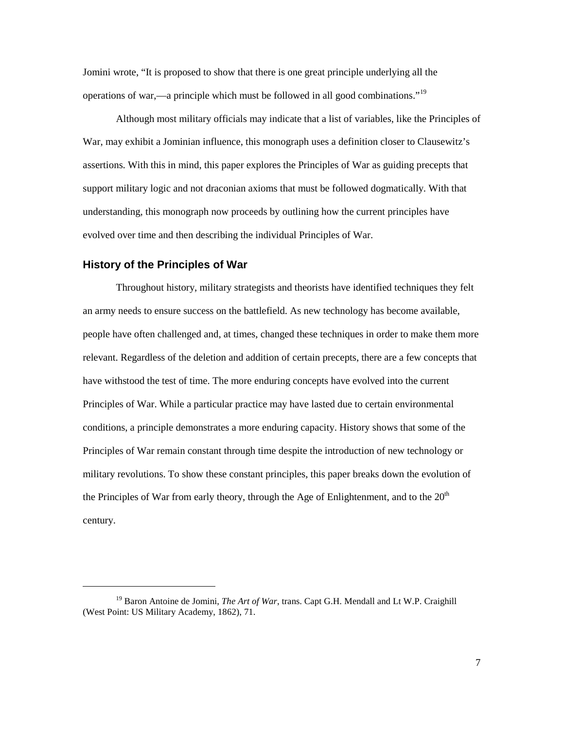Jomini wrote, "It is proposed to show that there is one great principle underlying all the operations of war,—a principle which must be followed in all good combinations."<sup>[19](#page-12-1)</sup>

Although most military officials may indicate that a list of variables, like the Principles of War, may exhibit a Jominian influence, this monograph uses a definition closer to Clausewitz's assertions. With this in mind, this paper explores the Principles of War as guiding precepts that support military logic and not draconian axioms that must be followed dogmatically. With that understanding, this monograph now proceeds by outlining how the current principles have evolved over time and then describing the individual Principles of War.

#### <span id="page-12-0"></span>**History of the Principles of War**

 $\overline{a}$ 

Throughout history, military strategists and theorists have identified techniques they felt an army needs to ensure success on the battlefield. As new technology has become available, people have often challenged and, at times, changed these techniques in order to make them more relevant. Regardless of the deletion and addition of certain precepts, there are a few concepts that have withstood the test of time. The more enduring concepts have evolved into the current Principles of War. While a particular practice may have lasted due to certain environmental conditions, a principle demonstrates a more enduring capacity. History shows that some of the Principles of War remain constant through time despite the introduction of new technology or military revolutions. To show these constant principles, this paper breaks down the evolution of the Principles of War from early theory, through the Age of Enlightenment, and to the  $20<sup>th</sup>$ century.

7

<span id="page-12-1"></span><sup>19</sup> Baron Antoine de Jomini, *The Art of War*, trans. Capt G.H. Mendall and Lt W.P. Craighill (West Point: US Military Academy, 1862), 71.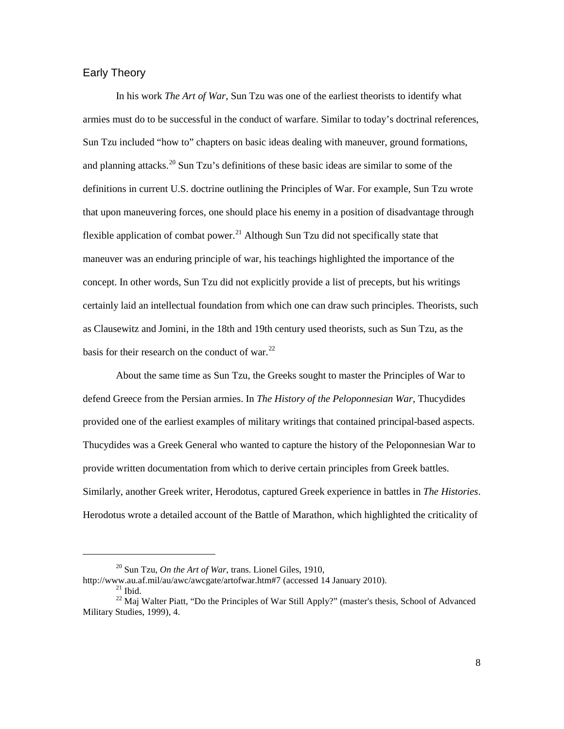#### Early Theory

 $\overline{a}$ 

In his work *The Art of War,* Sun Tzu was one of the earliest theorists to identify what armies must do to be successful in the conduct of warfare. Similar to today's doctrinal references, Sun Tzu included "how to" chapters on basic ideas dealing with maneuver, ground formations, and planning attacks.<sup>[20](#page-13-0)</sup> Sun Tzu's definitions of these basic ideas are similar to some of the definitions in current U.S. doctrine outlining the Principles of War. For example, Sun Tzu wrote that upon maneuvering forces, one should place his enemy in a position of disadvantage through flexible application of combat power.<sup>21</sup> Although Sun Tzu did not specifically state that maneuver was an enduring principle of war, his teachings highlighted the importance of the concept. In other words, Sun Tzu did not explicitly provide a list of precepts, but his writings certainly laid an intellectual foundation from which one can draw such principles. Theorists, such as Clausewitz and Jomini, in the 18th and 19th century used theorists, such as Sun Tzu, as the basis for their research on the conduct of war.<sup>[22](#page-13-2)</sup>

About the same time as Sun Tzu, the Greeks sought to master the Principles of War to defend Greece from the Persian armies. In *The History of the Peloponnesian War*, Thucydides provided one of the earliest examples of military writings that contained principal-based aspects. Thucydides was a Greek General who wanted to capture the history of the Peloponnesian War to provide written documentation from which to derive certain principles from Greek battles. Similarly, another Greek writer, Herodotus, captured Greek experience in battles in *The Histories*. Herodotus wrote a detailed account of the Battle of Marathon, which highlighted the criticality of

<sup>20</sup> Sun Tzu, *On the Art of War*, trans. Lionel Giles, 1910,

<span id="page-13-0"></span>http://www.au.af.mil/au/awc/awcgate/artofwar.htm#7 (accessed 14 January 2010).<br><sup>21</sup> Ibid. <sup>22</sup> Maj Walter Piatt, "Do the Principles of War Still Apply?" (master's thesis, School of Advanced

<span id="page-13-2"></span><span id="page-13-1"></span>Military Studies, 1999), 4.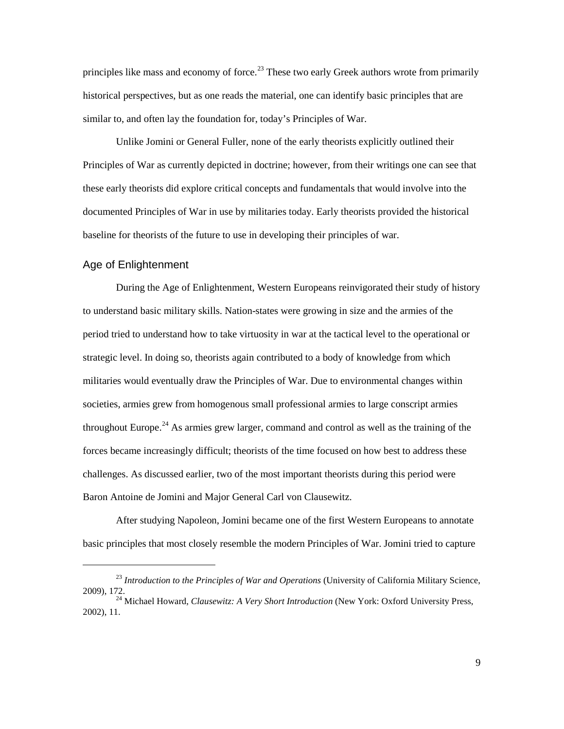principles like mass and economy of force.<sup>[23](#page-14-0)</sup> These two early Greek authors wrote from primarily historical perspectives, but as one reads the material, one can identify basic principles that are similar to, and often lay the foundation for, today's Principles of War.

Unlike Jomini or General Fuller, none of the early theorists explicitly outlined their Principles of War as currently depicted in doctrine; however, from their writings one can see that these early theorists did explore critical concepts and fundamentals that would involve into the documented Principles of War in use by militaries today. Early theorists provided the historical baseline for theorists of the future to use in developing their principles of war.

#### Age of Enlightenment

 $\overline{a}$ 

During the Age of Enlightenment, Western Europeans reinvigorated their study of history to understand basic military skills. Nation-states were growing in size and the armies of the period tried to understand how to take virtuosity in war at the tactical level to the operational or strategic level. In doing so, theorists again contributed to a body of knowledge from which militaries would eventually draw the Principles of War. Due to environmental changes within societies, armies grew from homogenous small professional armies to large conscript armies throughout Europe.<sup>[24](#page-14-1)</sup> As armies grew larger, command and control as well as the training of the forces became increasingly difficult; theorists of the time focused on how best to address these challenges. As discussed earlier, two of the most important theorists during this period were Baron Antoine de Jomini and Major General Carl von Clausewitz.

After studying Napoleon, Jomini became one of the first Western Europeans to annotate basic principles that most closely resemble the modern Principles of War. Jomini tried to capture

<span id="page-14-0"></span><sup>&</sup>lt;sup>23</sup> *Introduction to the Principles of War and Operations* (University of California Military Science, 2009). 172.

<span id="page-14-1"></span><sup>&</sup>lt;sup>24</sup> Michael Howard, *Clausewitz: A Very Short Introduction* (New York: Oxford University Press, 2002), 11.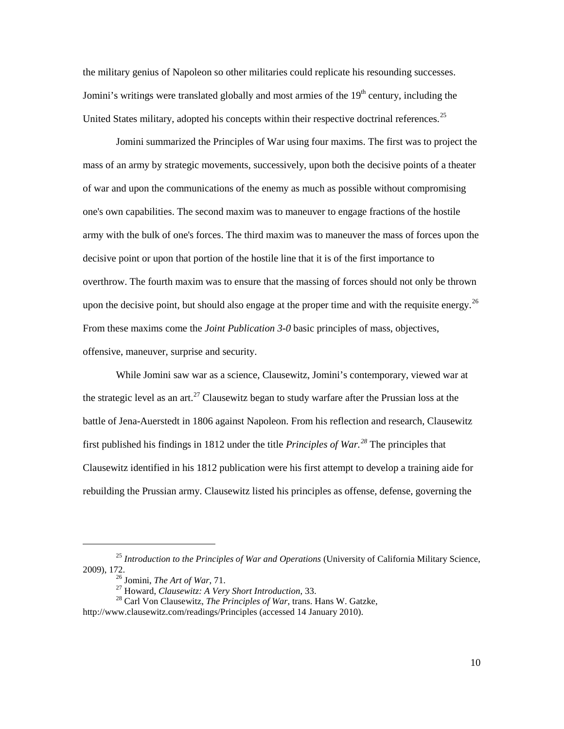the military genius of Napoleon so other militaries could replicate his resounding successes. Jomini's writings were translated globally and most armies of the  $19<sup>th</sup>$  century, including the United States military, adopted his concepts within their respective doctrinal references.<sup>[25](#page-15-0)</sup>

Jomini summarized the Principles of War using four maxims. The first was to project the mass of an army by strategic movements, successively, upon both the decisive points of a theater of war and upon the communications of the enemy as much as possible without compromising one's own capabilities. The second maxim was to maneuver to engage fractions of the hostile army with the bulk of one's forces. The third maxim was to maneuver the mass of forces upon the decisive point or upon that portion of the hostile line that it is of the first importance to overthrow. The fourth maxim was to ensure that the massing of forces should not only be thrown upon the decisive point, but should also engage at the proper time and with the requisite energy.<sup>[26](#page-15-1)</sup> From these maxims come the *Joint Publication 3-0* basic principles of mass, objectives, offensive, maneuver, surprise and security.

While Jomini saw war as a science, Clausewitz, Jomini's contemporary, viewed war at the strategic level as an art.<sup>[27](#page-15-2)</sup> Clausewitz began to study warfare after the Prussian loss at the battle of Jena-Auerstedt in 1806 against Napoleon. From his reflection and research, Clausewitz first published his findings in 1812 under the title *Principles of War. [28](#page-15-3)* The principles that Clausewitz identified in his 1812 publication were his first attempt to develop a training aide for rebuilding the Prussian army. Clausewitz listed his principles as offense, defense, governing the

<span id="page-15-1"></span><span id="page-15-0"></span><sup>25</sup> *Introduction to the Principles of War and Operations* (University of California Military Science, 2009), 172.<br> $^{26}$  Jomini, *The Art of War*, 71.

<sup>&</sup>lt;sup>27</sup> Howard, *Clausewitz: A Very Short Introduction*, 33.<br><sup>28</sup> Carl Von Clausewitz, *The Principles of War*, trans. Hans W. Gatzke,

<span id="page-15-3"></span><span id="page-15-2"></span>http://www.clausewitz.com/readings/Principles (accessed 14 January 2010).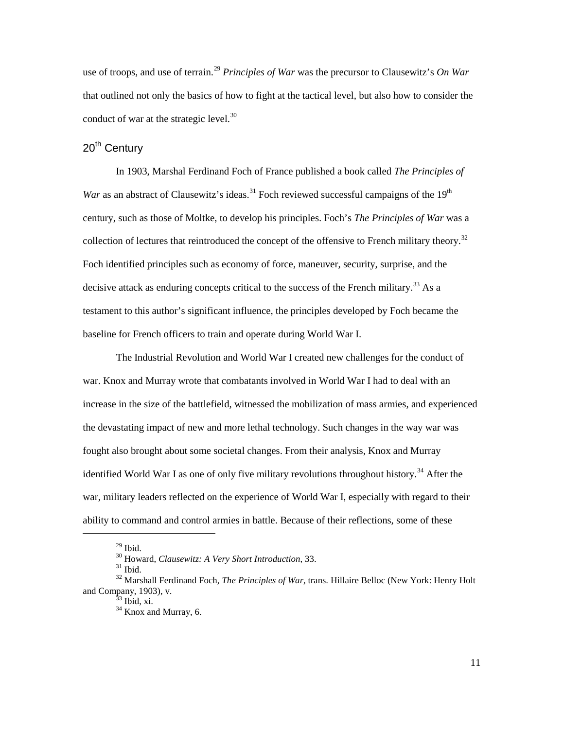use of troops, and use of terrain.[29](#page-16-0) *Principles of War* was the precursor to Clausewitz's *On War* that outlined not only the basics of how to fight at the tactical level, but also how to consider the conduct of war at the strategic level.<sup>[30](#page-16-1)</sup>

### 20<sup>th</sup> Century

In 1903, Marshal Ferdinand Foch of France published a book called *The Principles of War* as an abstract of Clausewitz's ideas.<sup>[31](#page-16-2)</sup> Foch reviewed successful campaigns of the  $19<sup>th</sup>$ century, such as those of Moltke, to develop his principles. Foch's *The Principles of War* was a collection of lectures that reintroduced the concept of the offensive to French military theory.<sup>[32](#page-16-3)</sup> Foch identified principles such as economy of force, maneuver, security, surprise, and the decisive attack as enduring concepts critical to the success of the French military.<sup>[33](#page-16-4)</sup> As a testament to this author's significant influence, the principles developed by Foch became the baseline for French officers to train and operate during World War I.

The Industrial Revolution and World War I created new challenges for the conduct of war. Knox and Murray wrote that combatants involved in World War I had to deal with an increase in the size of the battlefield, witnessed the mobilization of mass armies, and experienced the devastating impact of new and more lethal technology. Such changes in the way war was fought also brought about some societal changes. From their analysis, Knox and Murray identified World War I as one of only five military revolutions throughout history.<sup>[34](#page-16-5)</sup> After the war, military leaders reflected on the experience of World War I, especially with regard to their ability to command and control armies in battle. Because of their reflections, some of these

<sup>&</sup>lt;sup>29</sup> Ibid.<br><sup>30</sup> Howard, *Clausewitz: A Verv Short Introduction*, 33.

<span id="page-16-5"></span><span id="page-16-4"></span><span id="page-16-3"></span><span id="page-16-2"></span><span id="page-16-1"></span><span id="page-16-0"></span><sup>&</sup>lt;sup>31</sup> Ibid.<br><sup>32</sup> Marshall Ferdinand Foch, *The Principles of War*, trans. Hillaire Belloc (New York: Henry Holt and Company, 1903), v.<br> $\frac{33}{31}$  Ibid, xi.<br> $\frac{34}{31}$  Knox and Murray, 6.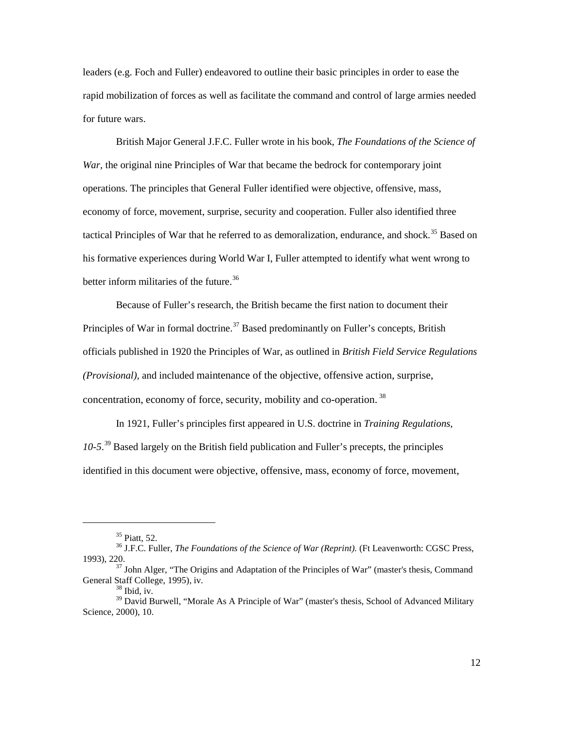leaders (e.g. Foch and Fuller) endeavored to outline their basic principles in order to ease the rapid mobilization of forces as well as facilitate the command and control of large armies needed for future wars.

British Major General J.F.C. Fuller wrote in his book, *The Foundations of the Science of War,* the original nine Principles of War that became the bedrock for contemporary joint operations. The principles that General Fuller identified were objective, offensive, mass, economy of force, movement, surprise, security and cooperation. Fuller also identified three tactical Principles of War that he referred to as demoralization, endurance, and shock.<sup>35</sup> Based on his formative experiences during World War I, Fuller attempted to identify what went wrong to better inform militaries of the future.<sup>[36](#page-17-1)</sup>

Because of Fuller's research, the British became the first nation to document their Principles of War in formal doctrine.<sup>37</sup> Based predominantly on Fuller's concepts, British officials published in 1920 the Principles of War, as outlined in *British Field Service Regulations (Provisional),* and included maintenance of the objective, offensive action, surprise, concentration, economy of force, security, mobility and co-operation.<sup>[38](#page-17-3)</sup>

In 1921, Fuller's principles first appeared in U.S. doctrine in *Training Regulations, 10-5*. [39](#page-17-4) Based largely on the British field publication and Fuller's precepts, the principles identified in this document were objective, offensive, mass, economy of force, movement,

 $35$  Piatt, 52.

<span id="page-17-1"></span><span id="page-17-0"></span><sup>&</sup>lt;sup>36</sup> J.F.C. Fuller, *The Foundations of the Science of War (Reprint)*. (Ft Leavenworth: CGSC Press, 1993). 220.

<span id="page-17-2"></span> $37$  John Alger, "The Origins and Adaptation of the Principles of War" (master's thesis, Command General Staff College, 1995), iv.<br><sup>38</sup> Ibid, iv.

<span id="page-17-4"></span><span id="page-17-3"></span><sup>&</sup>lt;sup>39</sup> David Burwell, "Morale As A Principle of War" (master's thesis, School of Advanced Military Science, 2000), 10.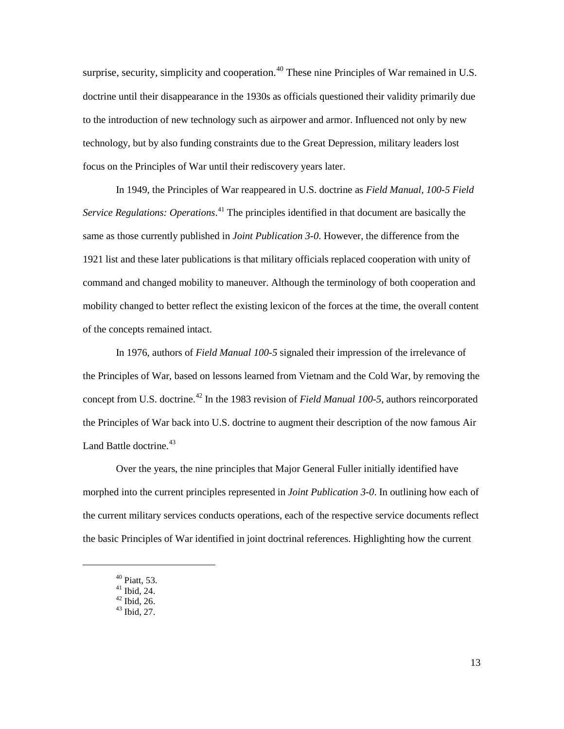surprise, security, simplicity and cooperation.<sup>[40](#page-18-0)</sup> These nine Principles of War remained in U.S. doctrine until their disappearance in the 1930s as officials questioned their validity primarily due to the introduction of new technology such as airpower and armor. Influenced not only by new technology, but by also funding constraints due to the Great Depression, military leaders lost focus on the Principles of War until their rediscovery years later.

In 1949, the Principles of War reappeared in U.S. doctrine as *Field Manual, 100-5 Field*  Service Regulations: Operations.<sup>[41](#page-18-1)</sup> The principles identified in that document are basically the same as those currently published in *Joint Publication 3-0*. However, the difference from the 1921 list and these later publications is that military officials replaced cooperation with unity of command and changed mobility to maneuver. Although the terminology of both cooperation and mobility changed to better reflect the existing lexicon of the forces at the time, the overall content of the concepts remained intact.

In 1976, authors of *Field Manual 100-5* signaled their impression of the irrelevance of the Principles of War, based on lessons learned from Vietnam and the Cold War, by removing the concept from U.S. doctrine. [42](#page-18-2) In the 1983 revision of *Field Manual 100-5*, authors reincorporated the Principles of War back into U.S. doctrine to augment their description of the now famous Air Land Battle doctrine.<sup>[43](#page-18-3)</sup>

Over the years, the nine principles that Major General Fuller initially identified have morphed into the current principles represented in *Joint Publication 3-0*. In outlining how each of the current military services conducts operations, each of the respective service documents reflect the basic Principles of War identified in joint doctrinal references. Highlighting how the current

<span id="page-18-0"></span><sup>40</sup> Piatt, 53.<br>
<sup>41</sup> Ibid, 24.<br>
<sup>42</sup> Ibid, 26.<br>
<sup>43</sup> Ibid, 27.

<span id="page-18-3"></span><span id="page-18-2"></span><span id="page-18-1"></span>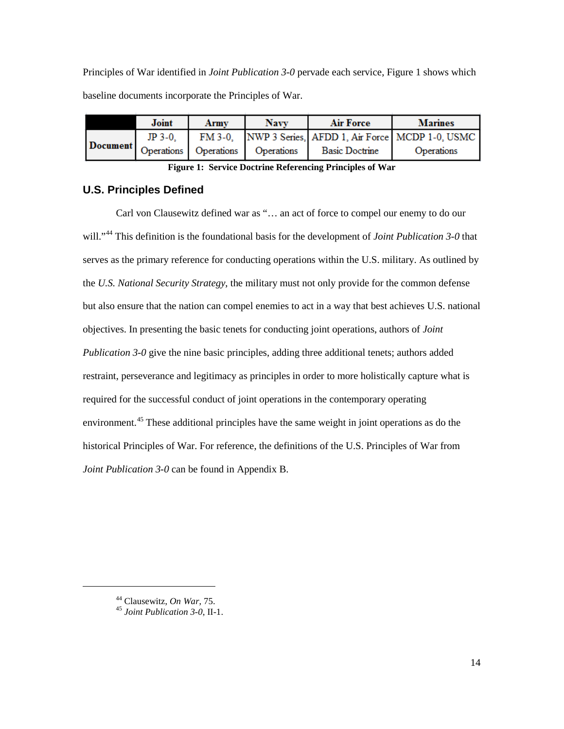Principles of War identified in *Joint Publication 3-0* pervade each service, Figure 1 shows which baseline documents incorporate the Principles of War.

|                 | Joint     | Armv | <b>Navy</b>                      | Air Force             | <b>Marines</b>                                         |
|-----------------|-----------|------|----------------------------------|-----------------------|--------------------------------------------------------|
|                 | $JP$ 3-0. |      |                                  |                       | FM 3-0, NWP 3 Series, AFDD 1, Air Force MCDP 1-0, USMC |
| <b>Document</b> |           |      | Operations Operations Operations | <b>Basic Doctrine</b> | Operations                                             |

|  | <b>Figure 1: Service Doctrine Referencing Principles of War</b> |  |  |  |
|--|-----------------------------------------------------------------|--|--|--|
|--|-----------------------------------------------------------------|--|--|--|

#### <span id="page-19-1"></span><span id="page-19-0"></span>**U.S. Principles Defined**

Carl von Clausewitz defined war as "… an act of force to compel our enemy to do our will."<sup>[44](#page-19-2)</sup> This definition is the foundational basis for the development of *Joint Publication 3-0* that serves as the primary reference for conducting operations within the U.S. military. As outlined by the *U.S. National Security Strategy*, the military must not only provide for the common defense but also ensure that the nation can compel enemies to act in a way that best achieves U.S. national objectives. In presenting the basic tenets for conducting joint operations, authors of *Joint Publication 3-0* give the nine basic principles, adding three additional tenets; authors added restraint, perseverance and legitimacy as principles in order to more holistically capture what is required for the successful conduct of joint operations in the contemporary operating environment.<sup>[45](#page-19-3)</sup> These additional principles have the same weight in joint operations as do the historical Principles of War. For reference, the definitions of the U.S. Principles of War from *Joint Publication 3-0* can be found in Appendix B.

<sup>44</sup> Clausewitz, *On War*, 75.

<span id="page-19-3"></span><span id="page-19-2"></span><sup>45</sup> *Joint Publication 3-0*, II-1.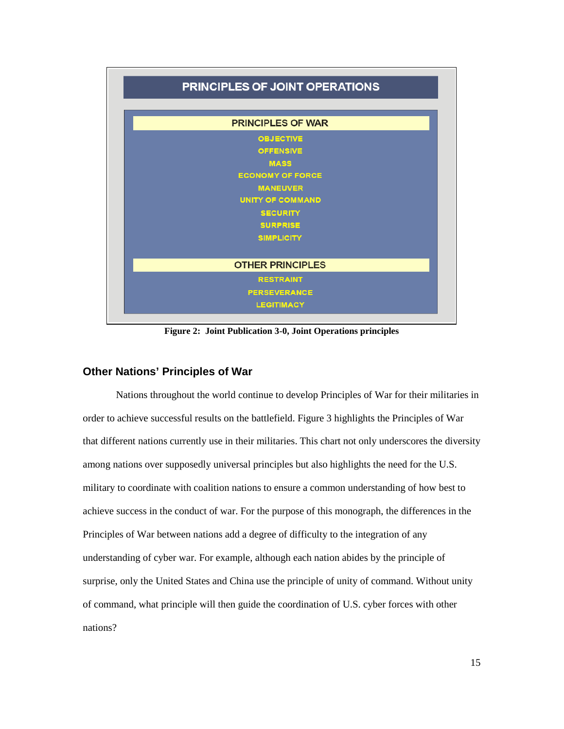

**Figure 2: Joint Publication 3-0, Joint Operations principles**

#### <span id="page-20-1"></span><span id="page-20-0"></span>**Other Nations' Principles of War**

Nations throughout the world continue to develop Principles of War for their militaries in order to achieve successful results on the battlefield. Figure 3 highlights the Principles of War that different nations currently use in their militaries. This chart not only underscores the diversity among nations over supposedly universal principles but also highlights the need for the U.S. military to coordinate with coalition nations to ensure a common understanding of how best to achieve success in the conduct of war. For the purpose of this monograph, the differences in the Principles of War between nations add a degree of difficulty to the integration of any understanding of cyber war. For example, although each nation abides by the principle of surprise, only the United States and China use the principle of unity of command. Without unity of command, what principle will then guide the coordination of U.S. cyber forces with other nations?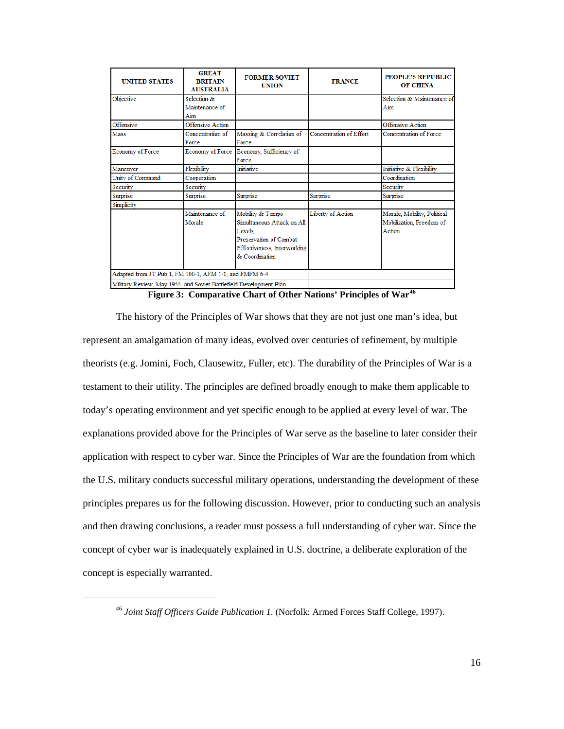| <b>UNITED STATES</b>                                               | <b>GREAT</b><br><b>BRITAIN</b><br><b>AUSTRALIA</b> | <b>FORMER SOVIET</b><br><b>UNION</b>                                                                                                 | <b>FRANCE</b>           | PEOPLE'S REPUBLIC<br><b>OF CHINA</b>                              |
|--------------------------------------------------------------------|----------------------------------------------------|--------------------------------------------------------------------------------------------------------------------------------------|-------------------------|-------------------------------------------------------------------|
| Objective                                                          | Selection &<br>Maintenance of<br>Aim               |                                                                                                                                      |                         | Selection & Maintenance of<br>Aim                                 |
| Offensive                                                          | <b>Offensive Action</b>                            |                                                                                                                                      |                         | <b>Offensive Action</b>                                           |
| <b>Mass</b>                                                        | Concentration of<br>Force                          | Massing & Correlation of<br>Force                                                                                                    | Concentration of Effort | Concentration of Force                                            |
| Economy of Force                                                   |                                                    | Economy of Force Economy, Sufficiency of<br>Force                                                                                    |                         |                                                                   |
| Maneuver                                                           | Flexibility                                        | <b>Initiative</b>                                                                                                                    |                         | Initiative & Flexibility                                          |
| Unity of Command                                                   | Cooperation                                        |                                                                                                                                      |                         | Coordination                                                      |
| Security                                                           | Security                                           |                                                                                                                                      |                         | Security                                                          |
| Surprise                                                           | Surprise                                           | Surprise                                                                                                                             | Surprise                | Surprise                                                          |
| Simplicity                                                         |                                                    |                                                                                                                                      |                         |                                                                   |
|                                                                    | Maintenance of<br>Morale                           | Mobility & Tempo<br>Simultaneous Attack on All<br>Levels.<br>Preservation of Combat<br>Effectiveness, Interworking<br>& Coordination | Liberty of Action       | Morale, Mobility, Political<br>Mobilization, Freedom of<br>Action |
| Adapted from JT Pub 1, FM 100-1, AFM 1-1, and FMFM 6-4             |                                                    |                                                                                                                                      |                         |                                                                   |
| Military Review, May 1955, and Soviet Battlefield Development Plan |                                                    |                                                                                                                                      |                         |                                                                   |

**Figure 3: Comparative Chart of Other Nations' Principles of War[46](#page-21-1)**

<span id="page-21-0"></span>The history of the Principles of War shows that they are not just one man's idea, but represent an amalgamation of many ideas, evolved over centuries of refinement, by multiple theorists (e.g. Jomini, Foch, Clausewitz, Fuller, etc). The durability of the Principles of War is a testament to their utility. The principles are defined broadly enough to make them applicable to today's operating environment and yet specific enough to be applied at every level of war. The explanations provided above for the Principles of War serve as the baseline to later consider their application with respect to cyber war. Since the Principles of War are the foundation from which the U.S. military conducts successful military operations, understanding the development of these principles prepares us for the following discussion. However, prior to conducting such an analysis and then drawing conclusions, a reader must possess a full understanding of cyber war. Since the concept of cyber war is inadequately explained in U.S. doctrine, a deliberate exploration of the concept is especially warranted.

<span id="page-21-1"></span><sup>46</sup> *Joint Staff Officers Guide Publication 1.* (Norfolk: Armed Forces Staff College, 1997).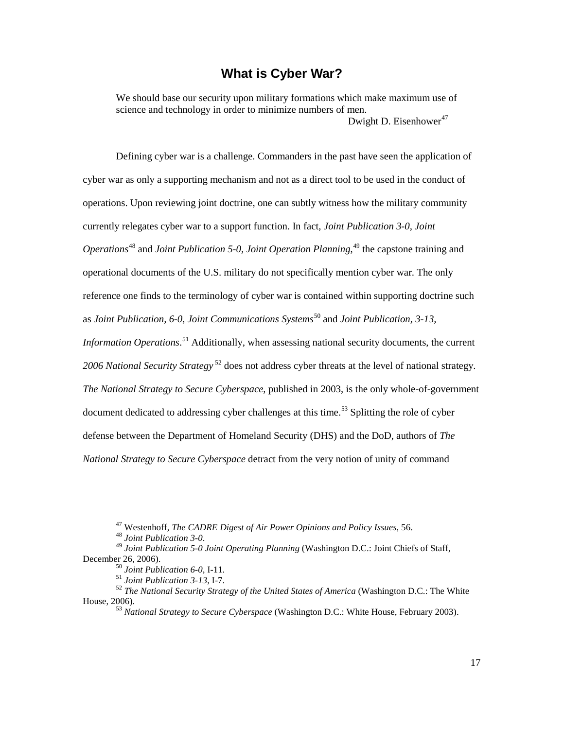# **What is Cyber War?**

<span id="page-22-0"></span>We should base our security upon military formations which make maximum use of science and technology in order to minimize numbers of men. Dwight D. Eisenhower<sup>[47](#page-22-1)</sup>

Defining cyber war is a challenge. Commanders in the past have seen the application of cyber war as only a supporting mechanism and not as a direct tool to be used in the conduct of operations. Upon reviewing joint doctrine, one can subtly witness how the military community currently relegates cyber war to a support function. In fact, *Joint Publication 3-0, Joint Operations*[48](#page-22-2) and *Joint Publication 5-0, Joint Operation Planning*, [49](#page-22-3) the capstone training and operational documents of the U.S. military do not specifically mention cyber war. The only reference one finds to the terminology of cyber war is contained within supporting doctrine such as *Joint Publication, 6-0, Joint Communications Systems*[50](#page-22-4) and *Joint Publication, 3-13, Information Operations*. [51](#page-22-5) Additionally, when assessing national security documents, the current *2006 National Security Strategy* [52](#page-22-6) does not address cyber threats at the level of national strategy. *The National Strategy to Secure Cyberspace*, published in 2003, is the only whole-of-government document dedicated to addressing cyber challenges at this time.<sup>[53](#page-22-7)</sup> Splitting the role of cyber defense between the Department of Homeland Security (DHS) and the DoD, authors of *The* 

*National Strategy to Secure Cyberspace* detract from the very notion of unity of command

<sup>47</sup> Westenhoff, *The CADRE Digest of Air Power Opinions and Policy Issues*, 56.

<span id="page-22-3"></span><span id="page-22-2"></span><span id="page-22-1"></span><sup>&</sup>lt;sup>49</sup> *Joint Publication 5-0 Joint Operating Planning* (Washington D.C.: Joint Chiefs of Staff, December 26, 2006).

<span id="page-22-7"></span><span id="page-22-6"></span><span id="page-22-5"></span><span id="page-22-4"></span><sup>&</sup>lt;sup>50</sup> *Joint Publication 6-0*, I-11.<br><sup>51</sup> *Joint Publication 3-13*, I-7. *52 The National Security Strategy of the United States of America* (Washington D.C.: The White House, 2006). 53 *National Strategy to Secure Cyberspace* (Washington D.C.: White House, February 2003).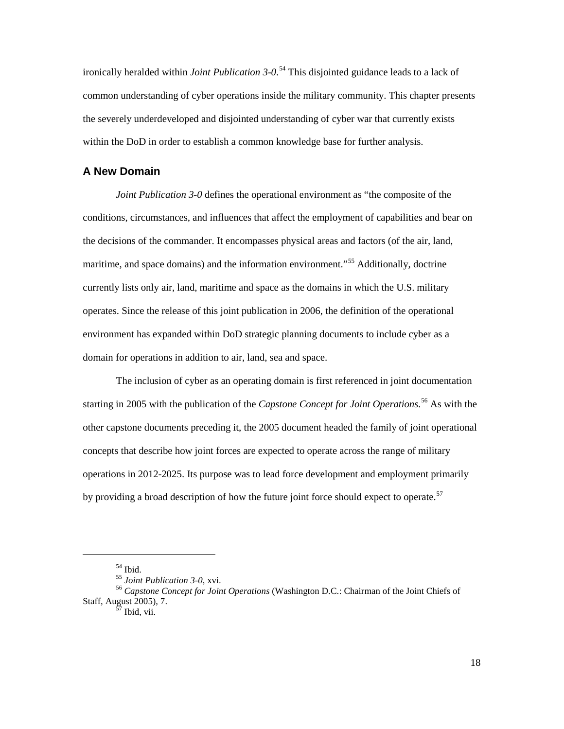ironically heralded within *Joint Publication 3-0*. [54](#page-23-1) This disjointed guidance leads to a lack of common understanding of cyber operations inside the military community. This chapter presents the severely underdeveloped and disjointed understanding of cyber war that currently exists within the DoD in order to establish a common knowledge base for further analysis.

#### <span id="page-23-0"></span>**A New Domain**

*Joint Publication 3-0* defines the operational environment as "the composite of the conditions, circumstances, and influences that affect the employment of capabilities and bear on the decisions of the commander. It encompasses physical areas and factors (of the air, land, maritime, and space domains) and the information environment."<sup>[55](#page-23-2)</sup> Additionally, doctrine currently lists only air, land, maritime and space as the domains in which the U.S. military operates. Since the release of this joint publication in 2006, the definition of the operational environment has expanded within DoD strategic planning documents to include cyber as a domain for operations in addition to air, land, sea and space.

The inclusion of cyber as an operating domain is first referenced in joint documentation starting in 2005 with the publication of the *Capstone Concept for Joint Operations*. [56](#page-23-3) As with the other capstone documents preceding it, the 2005 document headed the family of joint operational concepts that describe how joint forces are expected to operate across the range of military operations in 2012-2025. Its purpose was to lead force development and employment primarily by providing a broad description of how the future joint force should expect to operate.<sup>[57](#page-23-4)</sup>

<span id="page-23-4"></span><span id="page-23-3"></span><span id="page-23-2"></span><span id="page-23-1"></span><sup>&</sup>lt;sup>54</sup> Ibid.<br><sup>55</sup> *Joint Publication 3-0*, xvi.<br><sup>56</sup> *Capstone Concept for Joint Operations* (Washington D.C.: Chairman of the Joint Chiefs of Staff, August 2005), 7.<br><sup>57</sup> Ibid, vii.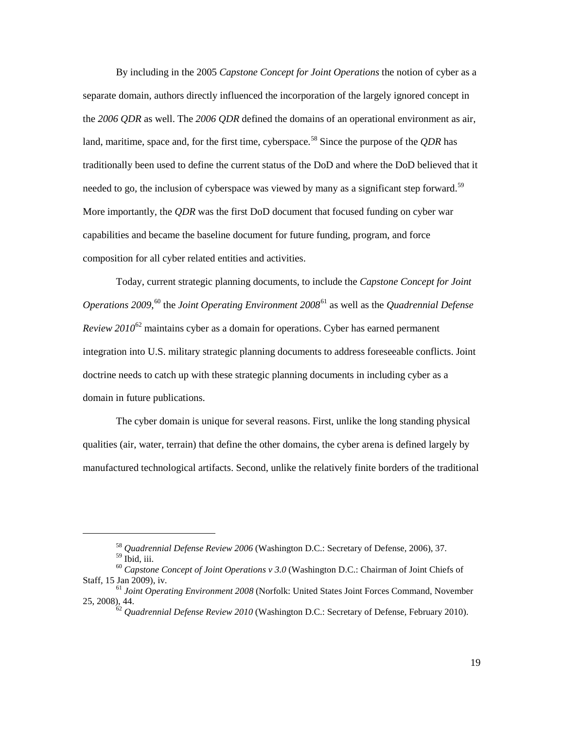By including in the 2005 *Capstone Concept for Joint Operations* the notion of cyber as a separate domain, authors directly influenced the incorporation of the largely ignored concept in the *2006 QDR* as well. The *2006 QDR* defined the domains of an operational environment as air, land, maritime, space and, for the first time, cyberspace.<sup>[58](#page-24-0)</sup> Since the purpose of the *QDR* has traditionally been used to define the current status of the DoD and where the DoD believed that it needed to go, the inclusion of cyberspace was viewed by many as a significant step forward.<sup>[59](#page-24-1)</sup> More importantly, the *QDR* was the first DoD document that focused funding on cyber war capabilities and became the baseline document for future funding, program, and force composition for all cyber related entities and activities.

Today, current strategic planning documents, to include the *Capstone Concept for Joint Operations 2009*, [60](#page-24-2) the *Joint Operating Environment 2008*[61](#page-24-3) as well as the *Quadrennial Defense Review 2010*[62](#page-24-4) maintains cyber as a domain for operations. Cyber has earned permanent integration into U.S. military strategic planning documents to address foreseeable conflicts. Joint doctrine needs to catch up with these strategic planning documents in including cyber as a domain in future publications.

The cyber domain is unique for several reasons. First, unlike the long standing physical qualities (air, water, terrain) that define the other domains, the cyber arena is defined largely by manufactured technological artifacts. Second, unlike the relatively finite borders of the traditional

<span id="page-24-1"></span><span id="page-24-0"></span><sup>&</sup>lt;sup>58</sup> *Quadrennial Defense Review 2006* (Washington D.C.: Secretary of Defense, 2006), 37.<br><sup>59</sup> Ibid, iii. 60 *Capstone Concept of Joint Operations v 3.0* (Washington D.C.: Chairman of Joint Chiefs of Staff, 15 Jan 2009), i

<span id="page-24-4"></span><span id="page-24-3"></span><span id="page-24-2"></span><sup>&</sup>lt;sup>61</sup> Joint Operating Environment 2008 (Norfolk: United States Joint Forces Command, November 25, 2008), 44. 62 *Quadrennial Defense Review 2010* (Washington D.C.: Secretary of Defense, February 2010).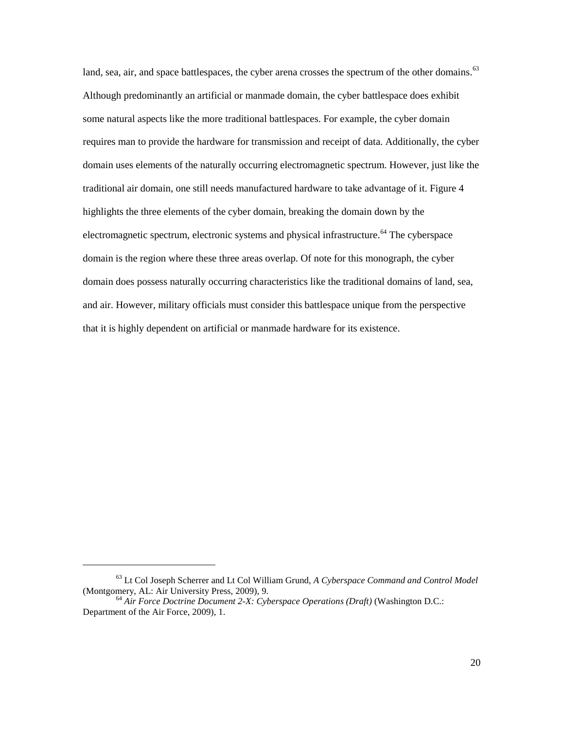land, sea, air, and space battlespaces, the cyber arena crosses the spectrum of the other domains.<sup>[63](#page-25-0)</sup> Although predominantly an artificial or manmade domain, the cyber battlespace does exhibit some natural aspects like the more traditional battlespaces. For example, the cyber domain requires man to provide the hardware for transmission and receipt of data. Additionally, the cyber domain uses elements of the naturally occurring electromagnetic spectrum. However, just like the traditional air domain, one still needs manufactured hardware to take advantage of it. Figure 4 highlights the three elements of the cyber domain, breaking the domain down by the electromagnetic spectrum, electronic systems and physical infrastructure.<sup>[64](#page-25-1)</sup> The cyberspace domain is the region where these three areas overlap. Of note for this monograph, the cyber domain does possess naturally occurring characteristics like the traditional domains of land, sea, and air. However, military officials must consider this battlespace unique from the perspective that it is highly dependent on artificial or manmade hardware for its existence.

<span id="page-25-0"></span><sup>63</sup> Lt Col Joseph Scherrer and Lt Col William Grund, *A Cyberspace Command and Control Model* (Montgomery, AL: Air University Press, 2009), 9.

<span id="page-25-1"></span><sup>64</sup> *Air Force Doctrine Document 2-X: Cyberspace Operations (Draft)* (Washington D.C.: Department of the Air Force, 2009), 1.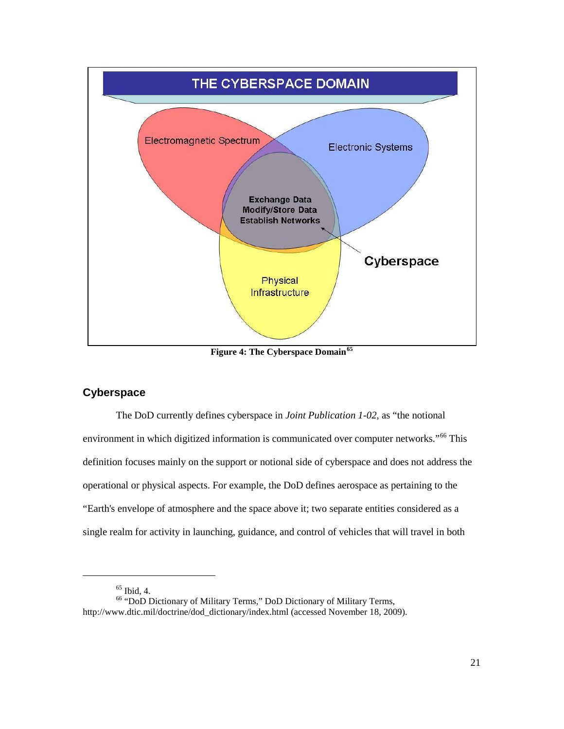

**Figure 4: The Cyberspace Domain[65](#page-26-2)**

#### <span id="page-26-1"></span><span id="page-26-0"></span>**Cyberspace**

The DoD currently defines cyberspace in *Joint Publication 1-02*, as "the notional environment in which digitized information is communicated over computer networks."<sup>[66](#page-26-3)</sup> This definition focuses mainly on the support or notional side of cyberspace and does not address the operational or physical aspects. For example, the DoD defines aerospace as pertaining to the "Earth's envelope of atmosphere and the space above it; two separate entities considered as a single realm for activity in launching, guidance, and control of vehicles that will travel in both

 $65$  Ibid, 4.

<span id="page-26-3"></span><span id="page-26-2"></span><sup>&</sup>lt;sup>66</sup> "DoD Dictionary of Military Terms," DoD Dictionary of Military Terms, http://www.dtic.mil/doctrine/dod\_dictionary/index.html (accessed November 18, 2009).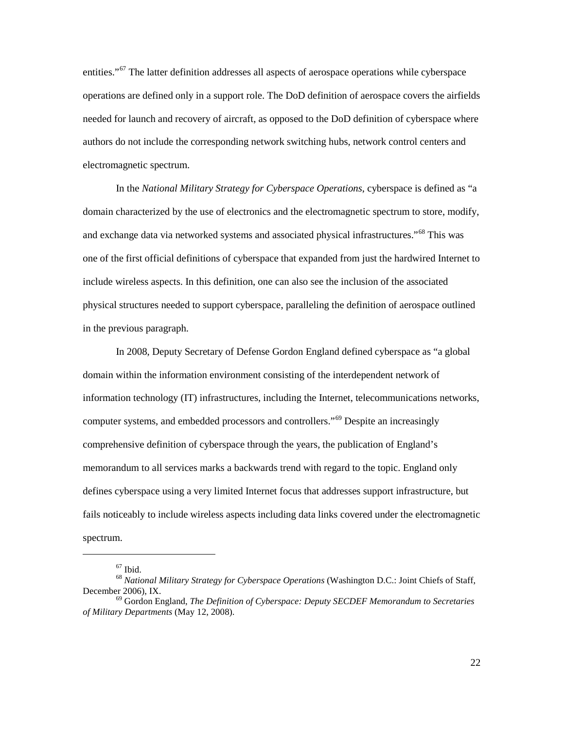entities."<sup>[67](#page-27-0)</sup> The latter definition addresses all aspects of aerospace operations while cyberspace operations are defined only in a support role. The DoD definition of aerospace covers the airfields needed for launch and recovery of aircraft, as opposed to the DoD definition of cyberspace where authors do not include the corresponding network switching hubs, network control centers and electromagnetic spectrum.

In the *National Military Strategy for Cyberspace Operations*, cyberspace is defined as "a domain characterized by the use of electronics and the electromagnetic spectrum to store, modify, and exchange data via networked systems and associated physical infrastructures."<sup>[68](#page-27-1)</sup> This was one of the first official definitions of cyberspace that expanded from just the hardwired Internet to include wireless aspects. In this definition, one can also see the inclusion of the associated physical structures needed to support cyberspace, paralleling the definition of aerospace outlined in the previous paragraph.

In 2008, Deputy Secretary of Defense Gordon England defined cyberspace as "a global domain within the information environment consisting of the interdependent network of information technology (IT) infrastructures, including the Internet, telecommunications networks, computer systems, and embedded processors and controllers."<sup>[69](#page-27-2)</sup> Despite an increasingly comprehensive definition of cyberspace through the years, the publication of England's memorandum to all services marks a backwards trend with regard to the topic. England only defines cyberspace using a very limited Internet focus that addresses support infrastructure, but fails noticeably to include wireless aspects including data links covered under the electromagnetic spectrum.

 $67$  Ibid.

<span id="page-27-1"></span><span id="page-27-0"></span><sup>68</sup> *National Military Strategy for Cyberspace Operations* (Washington D.C.: Joint Chiefs of Staff, December 2006), IX.<br><sup>69</sup> Gordon England, *The Definition of Cyberspace: Deputy SECDEF Memorandum to Secretaries* 

<span id="page-27-2"></span>*of Military Departments* (May 12, 2008).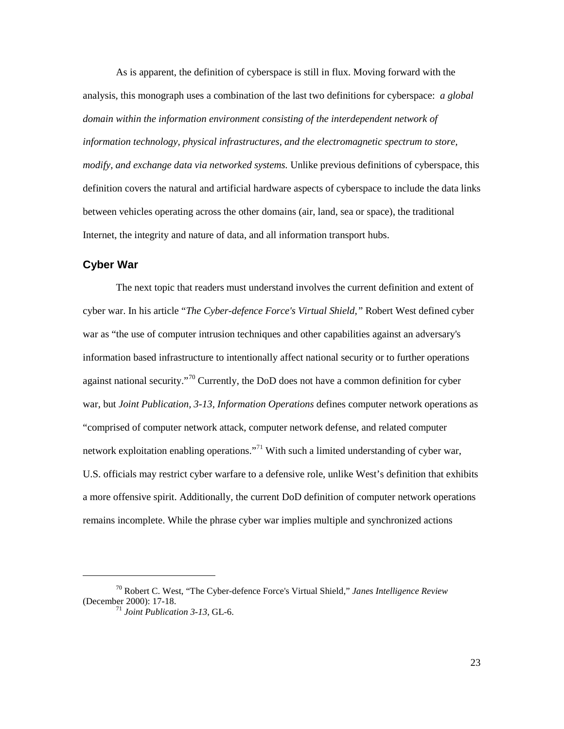As is apparent, the definition of cyberspace is still in flux. Moving forward with the analysis, this monograph uses a combination of the last two definitions for cyberspace: *a global domain within the information environment consisting of the interdependent network of information technology, physical infrastructures, and the electromagnetic spectrum to store, modify, and exchange data via networked systems.* Unlike previous definitions of cyberspace, this definition covers the natural and artificial hardware aspects of cyberspace to include the data links between vehicles operating across the other domains (air, land, sea or space), the traditional Internet, the integrity and nature of data, and all information transport hubs.

#### <span id="page-28-0"></span>**Cyber War**

 $\overline{a}$ 

The next topic that readers must understand involves the current definition and extent of cyber war. In his article "*The Cyber-defence Force's Virtual Shield,"* Robert West defined cyber war as "the use of computer intrusion techniques and other capabilities against an adversary's information based infrastructure to intentionally affect national security or to further operations against national security.<sup>"[70](#page-28-1)</sup> Currently, the DoD does not have a common definition for cyber war, but *Joint Publication, 3-13, Information Operations* defines computer network operations as "comprised of computer network attack, computer network defense, and related computer network exploitation enabling operations."<sup>[71](#page-28-2)</sup> With such a limited understanding of cyber war, U.S. officials may restrict cyber warfare to a defensive role, unlike West's definition that exhibits a more offensive spirit. Additionally, the current DoD definition of computer network operations remains incomplete. While the phrase cyber war implies multiple and synchronized actions

<span id="page-28-2"></span><span id="page-28-1"></span><sup>70</sup> Robert C. West, "The Cyber-defence Force's Virtual Shield," *Janes Intelligence Review* (December 2000): 17-18.

<sup>71</sup> *Joint Publication 3-13*, GL-6.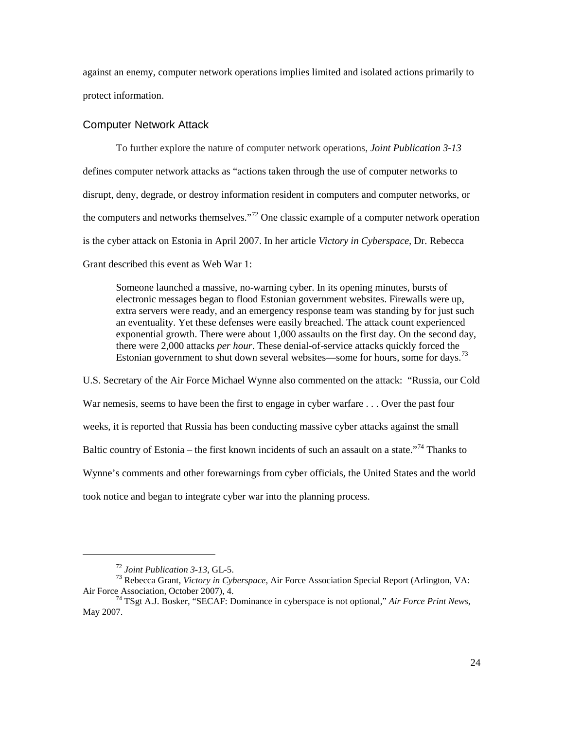against an enemy, computer network operations implies limited and isolated actions primarily to protect information.

#### Computer Network Attack

To further explore the nature of computer network operations, *Joint Publication 3-13* defines computer network attacks as "actions taken through the use of computer networks to disrupt, deny, degrade, or destroy information resident in computers and computer networks, or the computers and networks themselves."<sup>[72](#page-29-0)</sup> One classic example of a computer network operation is the cyber attack on Estonia in April 2007. In her article *Victory in Cyberspace,* Dr. Rebecca Grant described this event as Web War 1:

Someone launched a massive, no-warning cyber. In its opening minutes, bursts of electronic messages began to flood Estonian government websites. Firewalls were up, extra servers were ready, and an emergency response team was standing by for just such an eventuality. Yet these defenses were easily breached. The attack count experienced exponential growth. There were about 1,000 assaults on the first day. On the second day, there were 2,000 attacks *per hour*. These denial-of-service attacks quickly forced the Estonian government to shut down several websites—some for hours, some for days.<sup>[73](#page-29-1)</sup>

U.S. Secretary of the Air Force Michael Wynne also commented on the attack: "Russia, our Cold War nemesis, seems to have been the first to engage in cyber warfare . . . Over the past four weeks, it is reported that Russia has been conducting massive cyber attacks against the small Baltic country of Estonia – the first known incidents of such an assault on a state."<sup>[74](#page-29-2)</sup> Thanks to Wynne's comments and other forewarnings from cyber officials, the United States and the world took notice and began to integrate cyber war into the planning process.

<sup>72</sup> *Joint Publication 3-13*, GL-5.

<span id="page-29-1"></span><span id="page-29-0"></span><sup>&</sup>lt;sup>73</sup> Rebecca Grant, *Victory in Cyberspace*, Air Force Association Special Report (Arlington, VA: Air Force Association, October 2007), 4.

<span id="page-29-2"></span><sup>&</sup>lt;sup>74</sup> TSgt A.J. Bosker, "SECAF: Dominance in cyberspace is not optional," *Air Force Print News*, May 2007.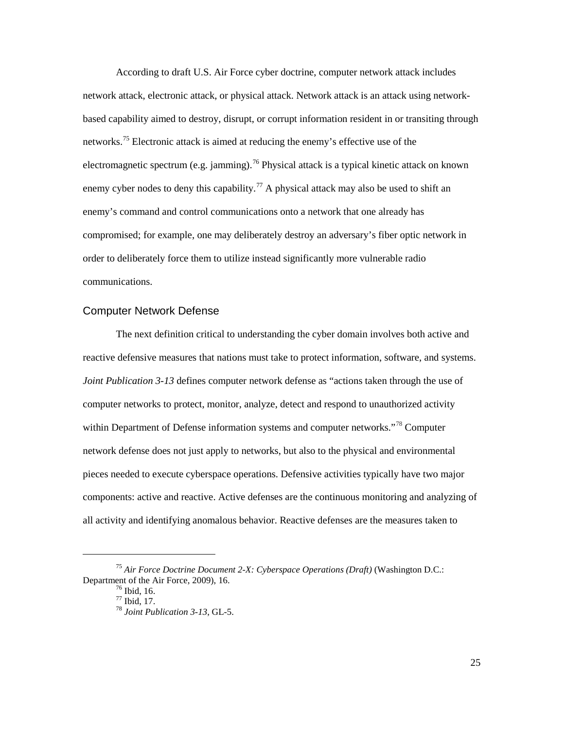According to draft U.S. Air Force cyber doctrine, computer network attack includes network attack, electronic attack, or physical attack. Network attack is an attack using networkbased capability aimed to destroy, disrupt, or corrupt information resident in or transiting through networks.<sup>75</sup> Electronic attack is aimed at reducing the enemy's effective use of the electromagnetic spectrum (e.g. jamming).<sup>[76](#page-30-1)</sup> Physical attack is a typical kinetic attack on known enemy cyber nodes to deny this capability.<sup>[77](#page-30-2)</sup> A physical attack may also be used to shift an enemy's command and control communications onto a network that one already has compromised; for example, one may deliberately destroy an adversary's fiber optic network in order to deliberately force them to utilize instead significantly more vulnerable radio communications.

#### Computer Network Defense

The next definition critical to understanding the cyber domain involves both active and reactive defensive measures that nations must take to protect information, software, and systems. *Joint Publication 3-13* defines computer network defense as "actions taken through the use of computer networks to protect, monitor, analyze, detect and respond to unauthorized activity within Department of Defense information systems and computer networks."<sup>[78](#page-30-3)</sup> Computer network defense does not just apply to networks, but also to the physical and environmental pieces needed to execute cyberspace operations. Defensive activities typically have two major components: active and reactive. Active defenses are the continuous monitoring and analyzing of all activity and identifying anomalous behavior. Reactive defenses are the measures taken to

<span id="page-30-3"></span><span id="page-30-2"></span><span id="page-30-1"></span><span id="page-30-0"></span><sup>75</sup> *Air Force Doctrine Document 2-X: Cyberspace Operations (Draft)* (Washington D.C.: Department of the Air Force, 2009), 16.<br><sup>76</sup> Ibid, 16.

<sup>&</sup>lt;sup>77</sup> Ibid, 17.  $78$  *Joint Publication 3-13*, GL-5.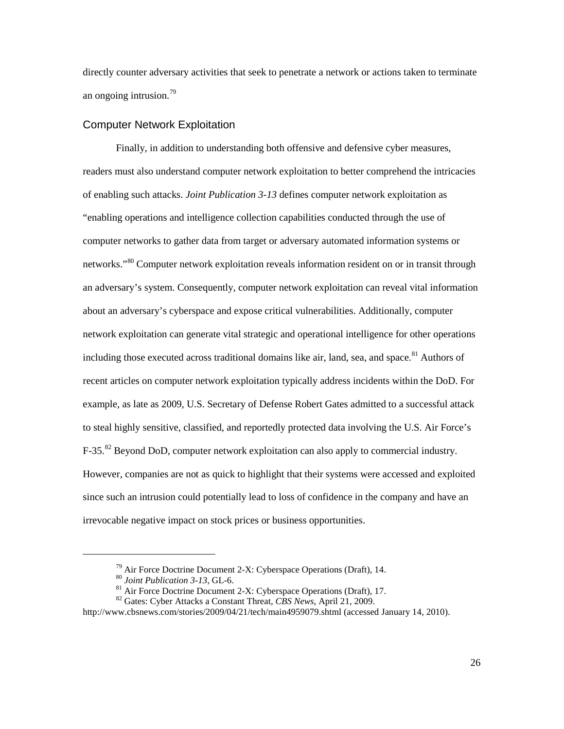directly counter adversary activities that seek to penetrate a network or actions taken to terminate an ongoing intrusion.<sup>[79](#page-31-0)</sup>

#### Computer Network Exploitation

Finally, in addition to understanding both offensive and defensive cyber measures, readers must also understand computer network exploitation to better comprehend the intricacies of enabling such attacks. *Joint Publication 3-13* defines computer network exploitation as "enabling operations and intelligence collection capabilities conducted through the use of computer networks to gather data from target or adversary automated information systems or networks."<sup>[80](#page-31-1)</sup> Computer network exploitation reveals information resident on or in transit through an adversary's system. Consequently, computer network exploitation can reveal vital information about an adversary's cyberspace and expose critical vulnerabilities. Additionally, computer network exploitation can generate vital strategic and operational intelligence for other operations including those executed across traditional domains like air, land, sea, and space.<sup>[81](#page-31-2)</sup> Authors of recent articles on computer network exploitation typically address incidents within the DoD. For example, as late as 2009, U.S. Secretary of Defense Robert Gates admitted to a successful attack to steal highly sensitive, classified, and reportedly protected data involving the U.S. Air Force's F-35.<sup>[82](#page-31-3)</sup> Beyond DoD, computer network exploitation can also apply to commercial industry. However, companies are not as quick to highlight that their systems were accessed and exploited since such an intrusion could potentially lead to loss of confidence in the company and have an irrevocable negative impact on stock prices or business opportunities.

<sup>&</sup>lt;sup>79</sup> Air Force Doctrine Document 2-X: Cyberspace Operations (Draft), 14. <sup>80</sup> Joint Publication 3-13, GL-6.

<sup>&</sup>lt;sup>81</sup> Air Force Doctrine Document 2-X: Cyberspace Operations (Draft), 17. <sup>82</sup> Gates: Cyber Attacks a Constant Threat, *CBS News*, April 21, 2009.

<span id="page-31-3"></span><span id="page-31-2"></span><span id="page-31-1"></span><span id="page-31-0"></span>http://www.cbsnews.com/stories/2009/04/21/tech/main4959079.shtml (accessed January 14, 2010).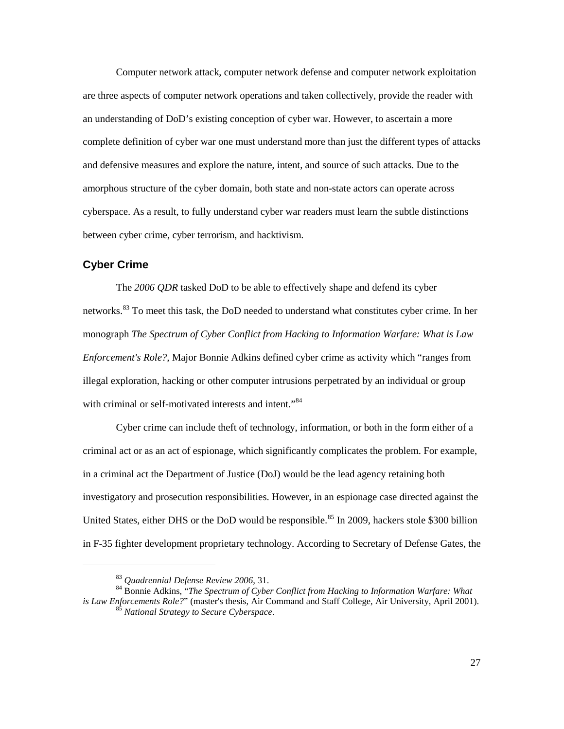Computer network attack, computer network defense and computer network exploitation are three aspects of computer network operations and taken collectively, provide the reader with an understanding of DoD's existing conception of cyber war. However, to ascertain a more complete definition of cyber war one must understand more than just the different types of attacks and defensive measures and explore the nature, intent, and source of such attacks. Due to the amorphous structure of the cyber domain, both state and non-state actors can operate across cyberspace. As a result, to fully understand cyber war readers must learn the subtle distinctions between cyber crime, cyber terrorism, and hacktivism.

#### <span id="page-32-0"></span>**Cyber Crime**

 $\overline{a}$ 

The *2006 QDR* tasked DoD to be able to effectively shape and defend its cyber networks.<sup>[83](#page-32-1)</sup> To meet this task, the DoD needed to understand what constitutes cyber crime. In her monograph *The Spectrum of Cyber Conflict from Hacking to Information Warfare: What is Law Enforcement's Role?,* Major Bonnie Adkins defined cyber crime as activity which "ranges from illegal exploration, hacking or other computer intrusions perpetrated by an individual or group with criminal or self-motivated interests and intent."<sup>[84](#page-32-2)</sup>

Cyber crime can include theft of technology, information, or both in the form either of a criminal act or as an act of espionage, which significantly complicates the problem. For example, in a criminal act the Department of Justice (DoJ) would be the lead agency retaining both investigatory and prosecution responsibilities. However, in an espionage case directed against the United States, either DHS or the DoD would be responsible.<sup>[85](#page-32-3)</sup> In 2009, hackers stole \$300 billion in F-35 fighter development proprietary technology. According to Secretary of Defense Gates, the

<sup>83</sup> *Quadrennial Defense Review 2006*, 31.

<span id="page-32-3"></span><span id="page-32-2"></span><span id="page-32-1"></span><sup>84</sup> Bonnie Adkins, "*The Spectrum of Cyber Conflict from Hacking to Information Warfare: What is Law Enforcements Role?*" (master's thesis, Air Command and Staff College, Air University, April 2001). 85 *National Strategy to Secure Cyberspace*.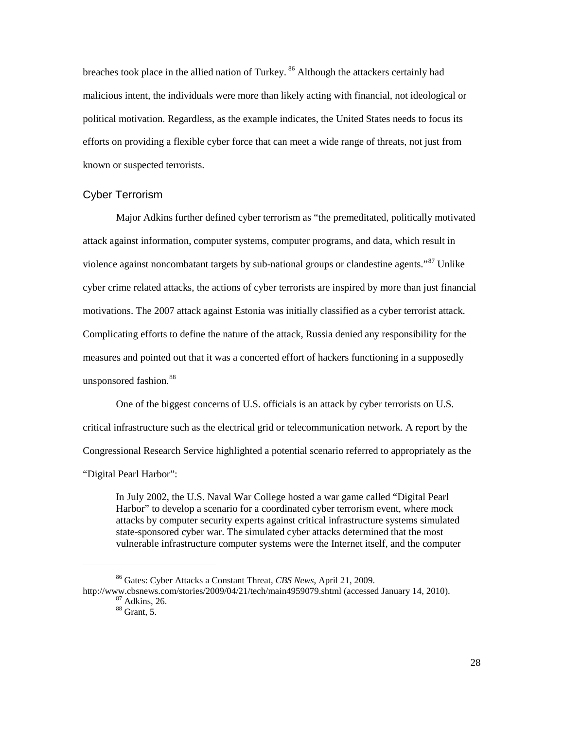breaches took place in the allied nation of Turkey. <sup>[86](#page-33-0)</sup> Although the attackers certainly had malicious intent, the individuals were more than likely acting with financial, not ideological or political motivation. Regardless, as the example indicates, the United States needs to focus its efforts on providing a flexible cyber force that can meet a wide range of threats, not just from known or suspected terrorists.

#### Cyber Terrorism

Major Adkins further defined cyber terrorism as "the premeditated, politically motivated attack against information, computer systems, computer programs, and data, which result in violence against noncombatant targets by sub-national groups or clandestine agents."<sup>[87](#page-33-1)</sup> Unlike cyber crime related attacks, the actions of cyber terrorists are inspired by more than just financial motivations. The 2007 attack against Estonia was initially classified as a cyber terrorist attack. Complicating efforts to define the nature of the attack, Russia denied any responsibility for the measures and pointed out that it was a concerted effort of hackers functioning in a supposedly unsponsored fashion.<sup>[88](#page-33-2)</sup>

One of the biggest concerns of U.S. officials is an attack by cyber terrorists on U.S. critical infrastructure such as the electrical grid or telecommunication network. A report by the Congressional Research Service highlighted a potential scenario referred to appropriately as the "Digital Pearl Harbor":

In July 2002, the U.S. Naval War College hosted a war game called "Digital Pearl Harbor" to develop a scenario for a coordinated cyber terrorism event, where mock attacks by computer security experts against critical infrastructure systems simulated state-sponsored cyber war. The simulated cyber attacks determined that the most vulnerable infrastructure computer systems were the Internet itself, and the computer

<sup>86</sup> Gates: Cyber Attacks a Constant Threat, *CBS News*, April 21, 2009.

<span id="page-33-2"></span><span id="page-33-1"></span><span id="page-33-0"></span>http://www.cbsnews.com/stories/2009/04/21/tech/main4959079.shtml (accessed January 14, 2010).<br><sup>87</sup> Adkins, 26.<br><sup>88</sup> Grant, 5.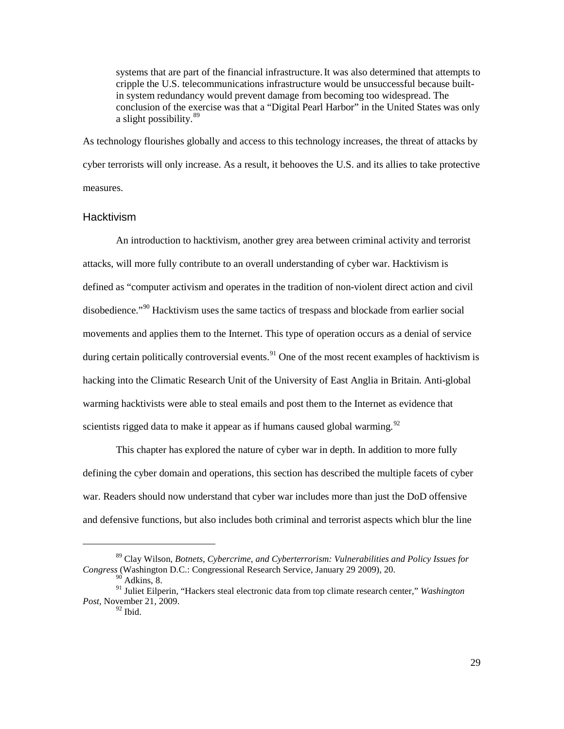systems that are part of the financial infrastructure.It was also determined that attempts to cripple the U.S. telecommunications infrastructure would be unsuccessful because builtin system redundancy would prevent damage from becoming too widespread. The conclusion of the exercise was that a "Digital Pearl Harbor" in the United States was only a slight possibility.<sup>[89](#page-34-0)</sup>

As technology flourishes globally and access to this technology increases, the threat of attacks by cyber terrorists will only increase. As a result, it behooves the U.S. and its allies to take protective measures.

#### **Hacktivism**

An introduction to hacktivism, another grey area between criminal activity and terrorist attacks, will more fully contribute to an overall understanding of cyber war. Hacktivism is defined as "computer activism and operates in the tradition of non-violent direct action and civil disobedience."<sup>[90](#page-34-1)</sup> Hacktivism uses the same tactics of trespass and blockade from earlier social movements and applies them to the Internet. This type of operation occurs as a denial of service during certain politically controversial events.<sup>[91](#page-34-2)</sup> One of the most recent examples of hacktivism is hacking into the Climatic Research Unit of the University of East Anglia in Britain. Anti-global warming hacktivists were able to steal emails and post them to the Internet as evidence that scientists rigged data to make it appear as if humans caused global warming.<sup>[92](#page-34-3)</sup>

This chapter has explored the nature of cyber war in depth. In addition to more fully defining the cyber domain and operations, this section has described the multiple facets of cyber war. Readers should now understand that cyber war includes more than just the DoD offensive and defensive functions, but also includes both criminal and terrorist aspects which blur the line

<span id="page-34-0"></span><sup>89</sup> Clay Wilson, *Botnets, Cybercrime, and Cyberterrorism: Vulnerabilities and Policy Issues for Congress* (Washington D.C.: Congressional Research Service, January 29 2009), 20. 90 Adkins, 8.

<span id="page-34-3"></span><span id="page-34-2"></span><span id="page-34-1"></span><sup>91</sup> Juliet Eilperin, "Hackers steal electronic data from top climate research center," *Washington Post*, November 21, 2009.

 $92$  Ibid.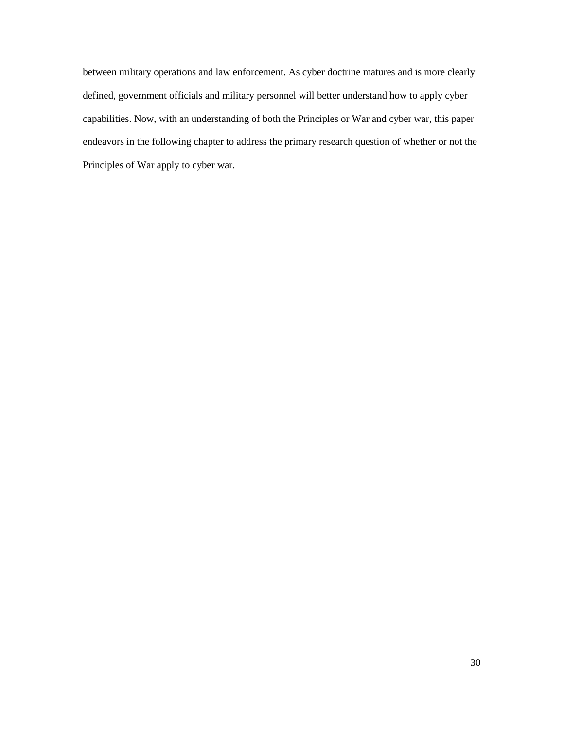between military operations and law enforcement. As cyber doctrine matures and is more clearly defined, government officials and military personnel will better understand how to apply cyber capabilities. Now, with an understanding of both the Principles or War and cyber war, this paper endeavors in the following chapter to address the primary research question of whether or not the Principles of War apply to cyber war.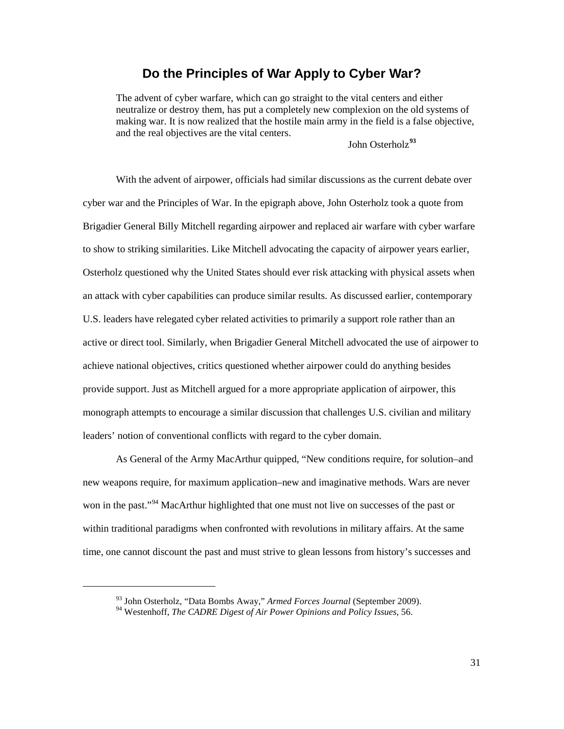### **Do the Principles of War Apply to Cyber War?**

<span id="page-36-0"></span>The advent of cyber warfare, which can go straight to the vital centers and either neutralize or destroy them, has put a completely new complexion on the old systems of making war. It is now realized that the hostile main army in the field is a false objective, and the real objectives are the vital centers.

John Osterholz**[93](#page-36-1)**

With the advent of airpower, officials had similar discussions as the current debate over cyber war and the Principles of War. In the epigraph above, John Osterholz took a quote from Brigadier General Billy Mitchell regarding airpower and replaced air warfare with cyber warfare to show to striking similarities. Like Mitchell advocating the capacity of airpower years earlier, Osterholz questioned why the United States should ever risk attacking with physical assets when an attack with cyber capabilities can produce similar results. As discussed earlier, contemporary U.S. leaders have relegated cyber related activities to primarily a support role rather than an active or direct tool. Similarly, when Brigadier General Mitchell advocated the use of airpower to achieve national objectives, critics questioned whether airpower could do anything besides provide support. Just as Mitchell argued for a more appropriate application of airpower, this monograph attempts to encourage a similar discussion that challenges U.S. civilian and military leaders' notion of conventional conflicts with regard to the cyber domain.

As General of the Army MacArthur quipped, "New conditions require, for solution–and new weapons require, for maximum application–new and imaginative methods. Wars are never won in the past."<sup>[94](#page-36-2)</sup> MacArthur highlighted that one must not live on successes of the past or within traditional paradigms when confronted with revolutions in military affairs. At the same time, one cannot discount the past and must strive to glean lessons from history's successes and

<sup>93</sup> John Osterholz, "Data Bombs Away," *Armed Forces Journal* (September 2009).

<span id="page-36-2"></span><span id="page-36-1"></span><sup>94</sup> Westenhoff, *The CADRE Digest of Air Power Opinions and Policy Issues*, 56.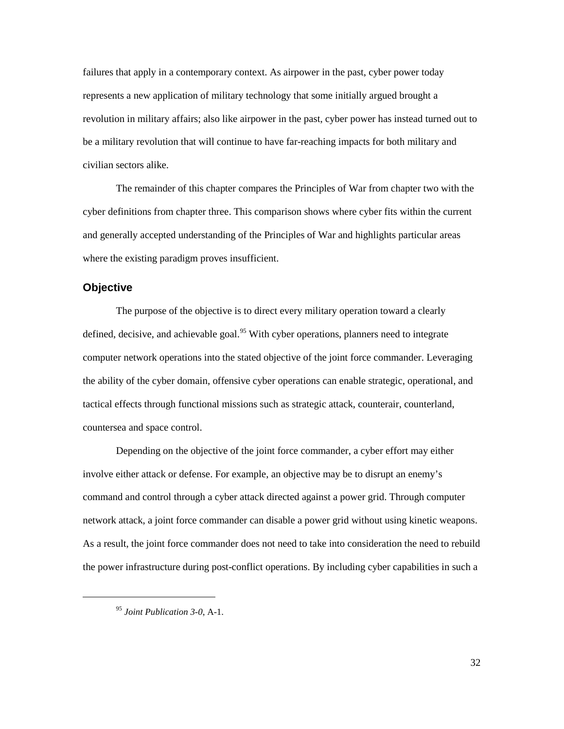failures that apply in a contemporary context. As airpower in the past, cyber power today represents a new application of military technology that some initially argued brought a revolution in military affairs; also like airpower in the past, cyber power has instead turned out to be a military revolution that will continue to have far-reaching impacts for both military and civilian sectors alike.

The remainder of this chapter compares the Principles of War from chapter two with the cyber definitions from chapter three. This comparison shows where cyber fits within the current and generally accepted understanding of the Principles of War and highlights particular areas where the existing paradigm proves insufficient.

#### <span id="page-37-0"></span>**Objective**

<span id="page-37-1"></span> $\overline{a}$ 

The purpose of the objective is to direct every military operation toward a clearly defined, decisive, and achievable goal.<sup>[95](#page-37-1)</sup> With cyber operations, planners need to integrate computer network operations into the stated objective of the joint force commander. Leveraging the ability of the cyber domain, offensive cyber operations can enable strategic, operational, and tactical effects through functional missions such as strategic attack, counterair, counterland, countersea and space control.

Depending on the objective of the joint force commander, a cyber effort may either involve either attack or defense. For example, an objective may be to disrupt an enemy's command and control through a cyber attack directed against a power grid. Through computer network attack, a joint force commander can disable a power grid without using kinetic weapons. As a result, the joint force commander does not need to take into consideration the need to rebuild the power infrastructure during post-conflict operations. By including cyber capabilities in such a

32

<sup>95</sup> *Joint Publication 3-0*, A-1.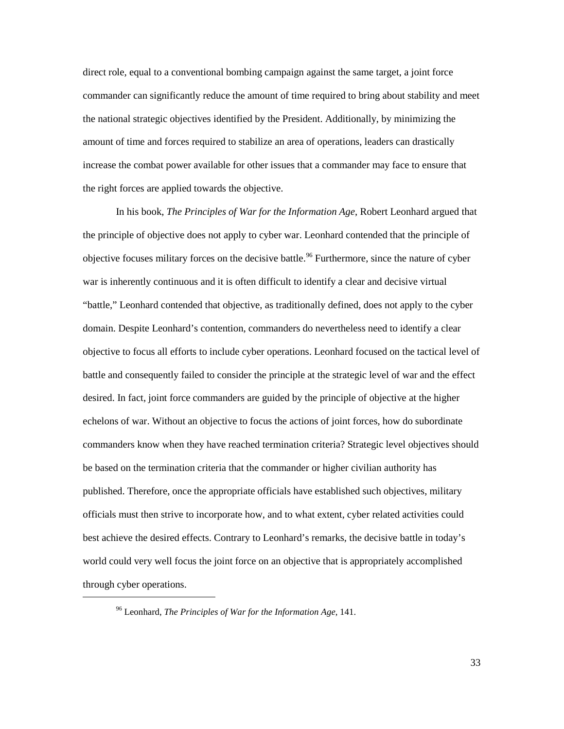direct role, equal to a conventional bombing campaign against the same target, a joint force commander can significantly reduce the amount of time required to bring about stability and meet the national strategic objectives identified by the President. Additionally, by minimizing the amount of time and forces required to stabilize an area of operations, leaders can drastically increase the combat power available for other issues that a commander may face to ensure that the right forces are applied towards the objective.

In his book, *The Principles of War for the Information Age*, Robert Leonhard argued that the principle of objective does not apply to cyber war. Leonhard contended that the principle of objective focuses military forces on the decisive battle.<sup>[96](#page-38-0)</sup> Furthermore, since the nature of cyber war is inherently continuous and it is often difficult to identify a clear and decisive virtual "battle," Leonhard contended that objective, as traditionally defined, does not apply to the cyber domain. Despite Leonhard's contention, commanders do nevertheless need to identify a clear objective to focus all efforts to include cyber operations. Leonhard focused on the tactical level of battle and consequently failed to consider the principle at the strategic level of war and the effect desired. In fact, joint force commanders are guided by the principle of objective at the higher echelons of war. Without an objective to focus the actions of joint forces, how do subordinate commanders know when they have reached termination criteria? Strategic level objectives should be based on the termination criteria that the commander or higher civilian authority has published. Therefore, once the appropriate officials have established such objectives, military officials must then strive to incorporate how, and to what extent, cyber related activities could best achieve the desired effects. Contrary to Leonhard's remarks, the decisive battle in today's world could very well focus the joint force on an objective that is appropriately accomplished through cyber operations.

<span id="page-38-0"></span> $\overline{a}$ 

33

<sup>96</sup> Leonhard, *The Principles of War for the Information Age*, 141.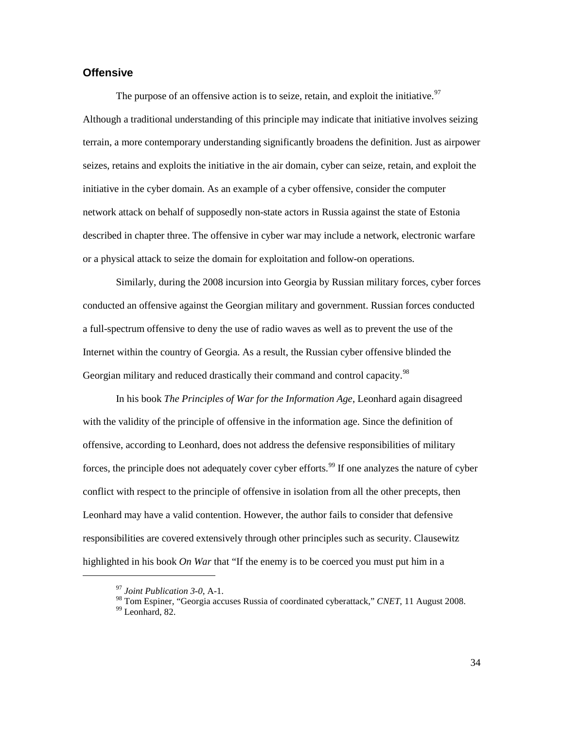#### <span id="page-39-0"></span>**Offensive**

The purpose of an offensive action is to seize, retain, and exploit the initiative.<sup>[97](#page-39-1)</sup> Although a traditional understanding of this principle may indicate that initiative involves seizing terrain, a more contemporary understanding significantly broadens the definition. Just as airpower seizes, retains and exploits the initiative in the air domain, cyber can seize, retain, and exploit the initiative in the cyber domain. As an example of a cyber offensive, consider the computer network attack on behalf of supposedly non-state actors in Russia against the state of Estonia described in chapter three. The offensive in cyber war may include a network, electronic warfare or a physical attack to seize the domain for exploitation and follow-on operations.

Similarly, during the 2008 incursion into Georgia by Russian military forces, cyber forces conducted an offensive against the Georgian military and government. Russian forces conducted a full-spectrum offensive to deny the use of radio waves as well as to prevent the use of the Internet within the country of Georgia. As a result, the Russian cyber offensive blinded the Georgian military and reduced drastically their command and control capacity.<sup>[98](#page-39-2)</sup>

In his book *The Principles of War for the Information Age*, Leonhard again disagreed with the validity of the principle of offensive in the information age. Since the definition of offensive, according to Leonhard, does not address the defensive responsibilities of military forces, the principle does not adequately cover cyber efforts.<sup>[99](#page-39-3)</sup> If one analyzes the nature of cyber conflict with respect to the principle of offensive in isolation from all the other precepts, then Leonhard may have a valid contention. However, the author fails to consider that defensive responsibilities are covered extensively through other principles such as security. Clausewitz highlighted in his book *On War* that "If the enemy is to be coerced you must put him in a

<sup>97</sup> *Joint Publication 3-0*, A-1.

<span id="page-39-3"></span><span id="page-39-2"></span><span id="page-39-1"></span><sup>&</sup>lt;sup>98</sup> Tom Espiner, "Georgia accuses Russia of coordinated cyberattack," *CNET*, 11 August 2008.<br><sup>99</sup> Leonhard, 82.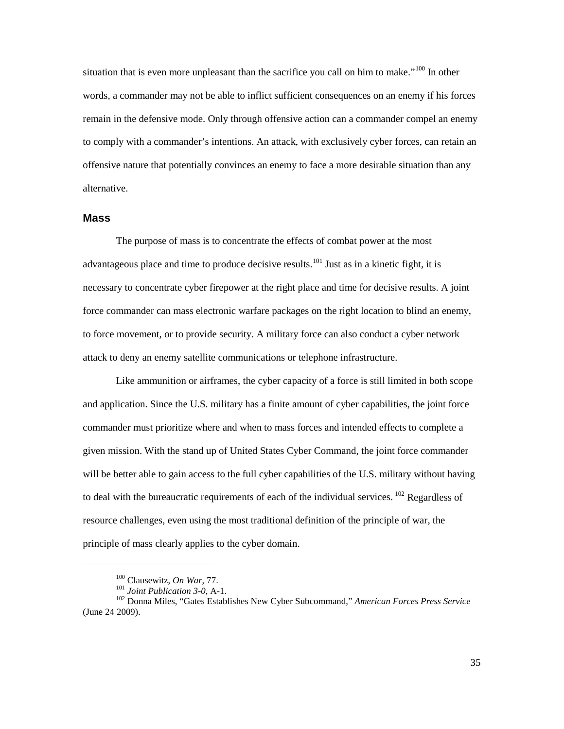situation that is even more unpleasant than the sacrifice you call on him to make."<sup>[100](#page-40-1)</sup> In other words, a commander may not be able to inflict sufficient consequences on an enemy if his forces remain in the defensive mode. Only through offensive action can a commander compel an enemy to comply with a commander's intentions. An attack, with exclusively cyber forces, can retain an offensive nature that potentially convinces an enemy to face a more desirable situation than any alternative.

#### <span id="page-40-0"></span>**Mass**

<span id="page-40-1"></span> $\overline{a}$ 

The purpose of mass is to concentrate the effects of combat power at the most advantageous place and time to produce decisive results.<sup>[101](#page-40-2)</sup> Just as in a kinetic fight, it is necessary to concentrate cyber firepower at the right place and time for decisive results. A joint force commander can mass electronic warfare packages on the right location to blind an enemy, to force movement, or to provide security. A military force can also conduct a cyber network attack to deny an enemy satellite communications or telephone infrastructure.

Like ammunition or airframes, the cyber capacity of a force is still limited in both scope and application. Since the U.S. military has a finite amount of cyber capabilities, the joint force commander must prioritize where and when to mass forces and intended effects to complete a given mission. With the stand up of United States Cyber Command, the joint force commander will be better able to gain access to the full cyber capabilities of the U.S. military without having to deal with the bureaucratic requirements of each of the individual services. <sup>[102](#page-40-3)</sup> Regardless of resource challenges, even using the most traditional definition of the principle of war, the principle of mass clearly applies to the cyber domain.

<sup>&</sup>lt;sup>100</sup> Clausewitz, *On War*, 77.<br><sup>101</sup> Joint Publication 3-0, A-1.

<span id="page-40-3"></span><span id="page-40-2"></span><sup>&</sup>lt;sup>102</sup> Donna Miles, "Gates Establishes New Cyber Subcommand," *American Forces Press Service* (June 24 2009).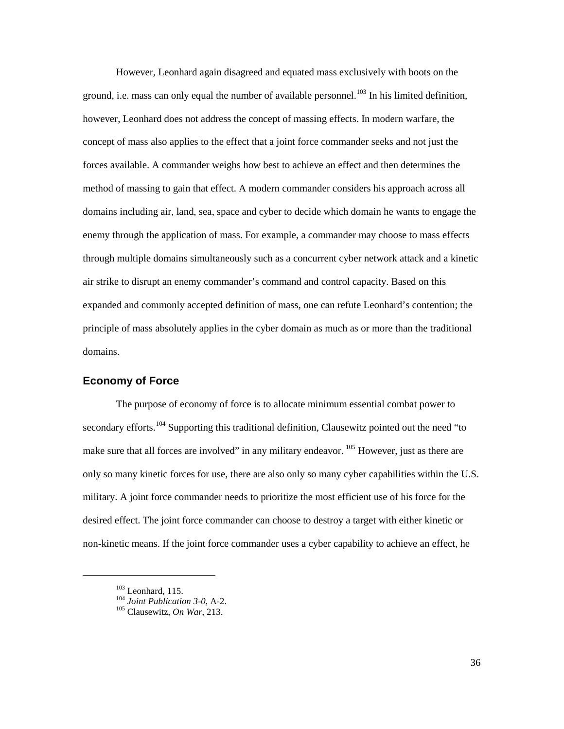However, Leonhard again disagreed and equated mass exclusively with boots on the ground, i.e. mass can only equal the number of available personnel.<sup>[103](#page-41-1)</sup> In his limited definition, however, Leonhard does not address the concept of massing effects. In modern warfare, the concept of mass also applies to the effect that a joint force commander seeks and not just the forces available. A commander weighs how best to achieve an effect and then determines the method of massing to gain that effect. A modern commander considers his approach across all domains including air, land, sea, space and cyber to decide which domain he wants to engage the enemy through the application of mass. For example, a commander may choose to mass effects through multiple domains simultaneously such as a concurrent cyber network attack and a kinetic air strike to disrupt an enemy commander's command and control capacity. Based on this expanded and commonly accepted definition of mass, one can refute Leonhard's contention; the principle of mass absolutely applies in the cyber domain as much as or more than the traditional domains.

#### <span id="page-41-0"></span>**Economy of Force**

The purpose of economy of force is to allocate minimum essential combat power to secondary efforts.<sup>104</sup> Supporting this traditional definition, Clausewitz pointed out the need "to make sure that all forces are involved" in any military endeavor. <sup>[105](#page-41-3)</sup> However, just as there are only so many kinetic forces for use, there are also only so many cyber capabilities within the U.S. military. A joint force commander needs to prioritize the most efficient use of his force for the desired effect. The joint force commander can choose to destroy a target with either kinetic or non-kinetic means. If the joint force commander uses a cyber capability to achieve an effect, he

 $103$  Leonhard, 115.

<span id="page-41-3"></span><span id="page-41-2"></span><span id="page-41-1"></span><sup>104</sup> *Joint Publication 3-0*, A-2. <sup>105</sup> Clausewitz, *On War*, 213.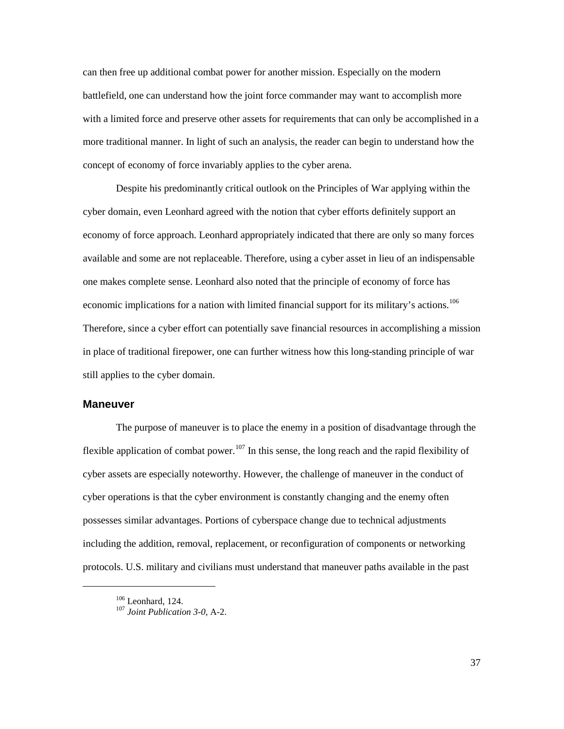can then free up additional combat power for another mission. Especially on the modern battlefield, one can understand how the joint force commander may want to accomplish more with a limited force and preserve other assets for requirements that can only be accomplished in a more traditional manner. In light of such an analysis, the reader can begin to understand how the concept of economy of force invariably applies to the cyber arena.

Despite his predominantly critical outlook on the Principles of War applying within the cyber domain, even Leonhard agreed with the notion that cyber efforts definitely support an economy of force approach. Leonhard appropriately indicated that there are only so many forces available and some are not replaceable. Therefore, using a cyber asset in lieu of an indispensable one makes complete sense. Leonhard also noted that the principle of economy of force has economic implications for a nation with limited financial support for its military's actions.<sup>[106](#page-42-1)</sup> Therefore, since a cyber effort can potentially save financial resources in accomplishing a mission in place of traditional firepower, one can further witness how this long-standing principle of war still applies to the cyber domain.

#### <span id="page-42-0"></span>**Maneuver**

<span id="page-42-2"></span><span id="page-42-1"></span> $\overline{a}$ 

The purpose of maneuver is to place the enemy in a position of disadvantage through the flexible application of combat power.<sup>[107](#page-42-2)</sup> In this sense, the long reach and the rapid flexibility of cyber assets are especially noteworthy. However, the challenge of maneuver in the conduct of cyber operations is that the cyber environment is constantly changing and the enemy often possesses similar advantages. Portions of cyberspace change due to technical adjustments including the addition, removal, replacement, or reconfiguration of components or networking protocols. U.S. military and civilians must understand that maneuver paths available in the past

<sup>106</sup> Leonhard, 124.

<sup>107</sup> *Joint Publication 3-0*, A-2.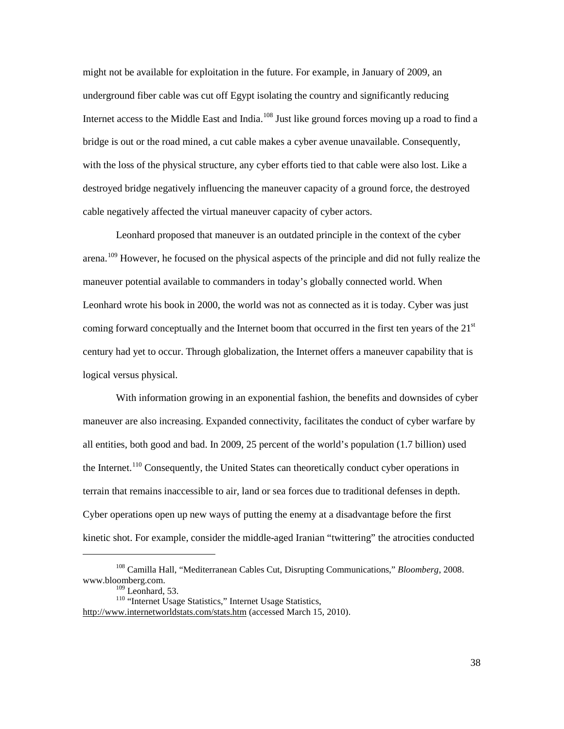might not be available for exploitation in the future. For example, in January of 2009, an underground fiber cable was cut off Egypt isolating the country and significantly reducing Internet access to the Middle East and India.<sup>[108](#page-43-0)</sup> Just like ground forces moving up a road to find a bridge is out or the road mined, a cut cable makes a cyber avenue unavailable. Consequently, with the loss of the physical structure, any cyber efforts tied to that cable were also lost. Like a destroyed bridge negatively influencing the maneuver capacity of a ground force, the destroyed cable negatively affected the virtual maneuver capacity of cyber actors.

Leonhard proposed that maneuver is an outdated principle in the context of the cyber arena.<sup>109</sup> However, he focused on the physical aspects of the principle and did not fully realize the maneuver potential available to commanders in today's globally connected world. When Leonhard wrote his book in 2000, the world was not as connected as it is today. Cyber was just coming forward conceptually and the Internet boom that occurred in the first ten years of the  $21<sup>st</sup>$ century had yet to occur. Through globalization, the Internet offers a maneuver capability that is logical versus physical.

With information growing in an exponential fashion, the benefits and downsides of cyber maneuver are also increasing. Expanded connectivity, facilitates the conduct of cyber warfare by all entities, both good and bad. In 2009, 25 percent of the world's population (1.7 billion) used the Internet.<sup>[110](#page-43-2)</sup> Consequently, the United States can theoretically conduct cyber operations in terrain that remains inaccessible to air, land or sea forces due to traditional defenses in depth. Cyber operations open up new ways of putting the enemy at a disadvantage before the first kinetic shot. For example, consider the middle-aged Iranian "twittering" the atrocities conducted

<span id="page-43-2"></span><span id="page-43-1"></span><span id="page-43-0"></span><sup>108</sup> Camilla Hall, "Mediterranean Cables Cut, Disrupting Communications," *Bloomberg*, 2008. www.bloomberg.com.<br><sup>109</sup> Leonhard, 53.

<sup>&</sup>lt;sup>110</sup> "Internet Usage Statistics," Internet Usage Statistics,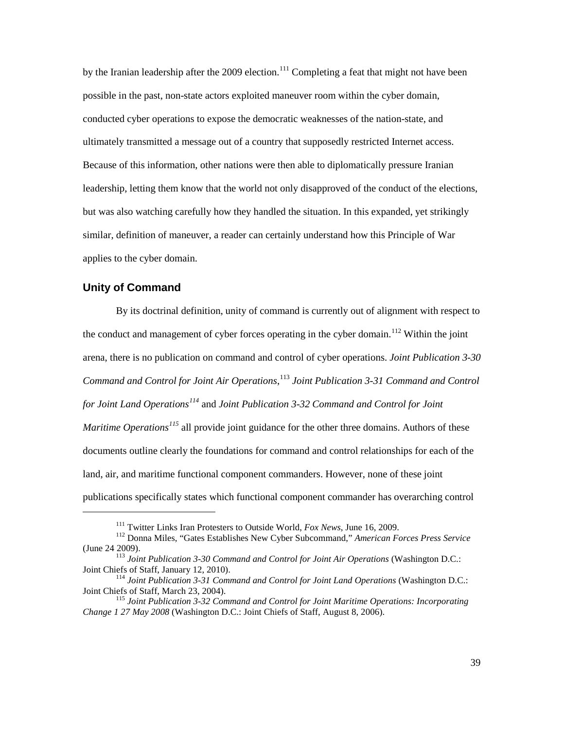by the Iranian leadership after the 2009 election.<sup>[111](#page-44-1)</sup> Completing a feat that might not have been possible in the past, non-state actors exploited maneuver room within the cyber domain, conducted cyber operations to expose the democratic weaknesses of the nation-state, and ultimately transmitted a message out of a country that supposedly restricted Internet access. Because of this information, other nations were then able to diplomatically pressure Iranian leadership, letting them know that the world not only disapproved of the conduct of the elections, but was also watching carefully how they handled the situation. In this expanded, yet strikingly similar, definition of maneuver, a reader can certainly understand how this Principle of War applies to the cyber domain.

#### <span id="page-44-0"></span>**Unity of Command**

 $\overline{a}$ 

By its doctrinal definition, unity of command is currently out of alignment with respect to the conduct and management of cyber forces operating in the cyber domain.<sup>[112](#page-44-2)</sup> Within the joint arena, there is no publication on command and control of cyber operations. *Joint Publication 3-30 Command and Control for Joint Air Operations*, [113](#page-44-3) *Joint Publication 3-31 Command and Control for Joint Land Operations[114](#page-44-4)* and *Joint Publication 3-32 Command and Control for Joint Maritime Operations<sup>[115](#page-44-5)</sup>* all provide joint guidance for the other three domains. Authors of these documents outline clearly the foundations for command and control relationships for each of the land, air, and maritime functional component commanders. However, none of these joint publications specifically states which functional component commander has overarching control

<sup>111</sup> Twitter Links Iran Protesters to Outside World, *Fox News*, June 16, 2009.

<span id="page-44-1"></span><sup>112</sup> Donna Miles, "Gates Establishes New Cyber Subcommand," *American Forces Press Service*

<span id="page-44-3"></span><span id="page-44-2"></span><sup>(</sup>June 24 2009).<br><sup>113</sup> *Joint Publication 3-30 Command and Control for Joint Air Operations* (Washington D.C.:<br>Joint Chiefs of Staff, January 12, 2010).

<span id="page-44-4"></span><sup>&</sup>lt;sup>114</sup> *Joint Publication 3-31 Command and Control for Joint Land Operations* (Washington D.C.: Joint Chiefs of Staff, March 23, 2004).

<span id="page-44-5"></span><sup>&</sup>lt;sup>115</sup> Joint Publication 3-32 Command and Control for Joint Maritime Operations: Incorporating *Change 1 27 May 2008* (Washington D.C.: Joint Chiefs of Staff, August 8, 2006).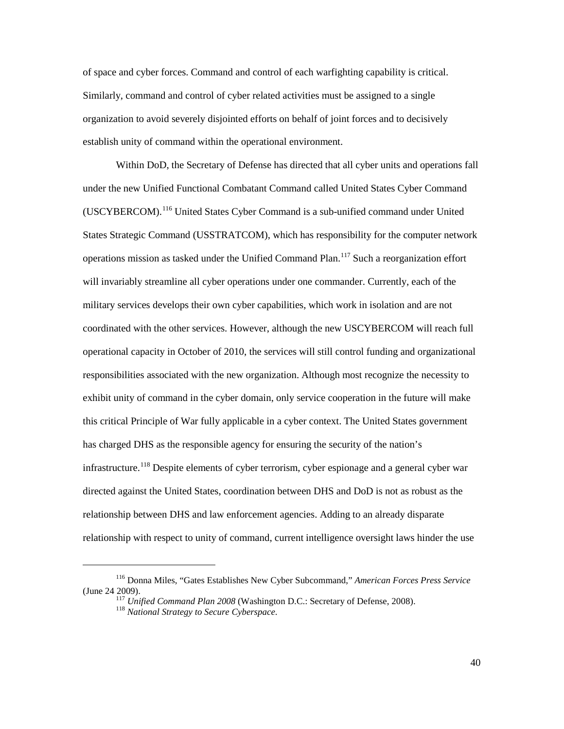of space and cyber forces. Command and control of each warfighting capability is critical. Similarly, command and control of cyber related activities must be assigned to a single organization to avoid severely disjointed efforts on behalf of joint forces and to decisively establish unity of command within the operational environment.

Within DoD, the Secretary of Defense has directed that all cyber units and operations fall under the new Unified Functional Combatant Command called United States Cyber Command (USCYBERCOM).[116](#page-45-0) United States Cyber Command is a sub-unified command under United States Strategic Command (USSTRATCOM), which has responsibility for the computer network operations mission as tasked under the Unified Command Plan.<sup>117</sup> Such a reorganization effort will invariably streamline all cyber operations under one commander. Currently, each of the military services develops their own cyber capabilities, which work in isolation and are not coordinated with the other services. However, although the new USCYBERCOM will reach full operational capacity in October of 2010, the services will still control funding and organizational responsibilities associated with the new organization. Although most recognize the necessity to exhibit unity of command in the cyber domain, only service cooperation in the future will make this critical Principle of War fully applicable in a cyber context. The United States government has charged DHS as the responsible agency for ensuring the security of the nation's infrastructure.<sup>[118](#page-45-2)</sup> Despite elements of cyber terrorism, cyber espionage and a general cyber war directed against the United States, coordination between DHS and DoD is not as robust as the relationship between DHS and law enforcement agencies. Adding to an already disparate relationship with respect to unity of command, current intelligence oversight laws hinder the use

<span id="page-45-2"></span><span id="page-45-1"></span><span id="page-45-0"></span><sup>116</sup> Donna Miles, "Gates Establishes New Cyber Subcommand," *American Forces Press Service* (June 24 2009).

<sup>117</sup> *Unified Command Plan 2008* (Washington D.C.: Secretary of Defense, 2008). 118 *National Strategy to Secure Cyberspace*.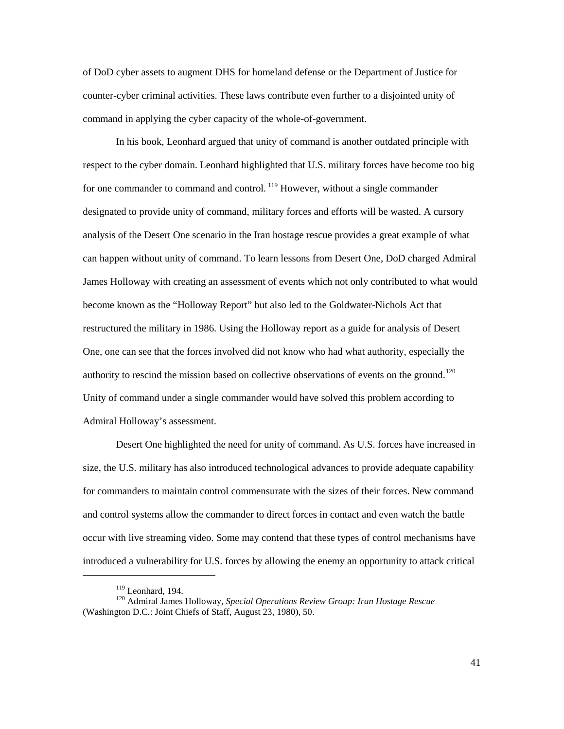of DoD cyber assets to augment DHS for homeland defense or the Department of Justice for counter-cyber criminal activities. These laws contribute even further to a disjointed unity of command in applying the cyber capacity of the whole-of-government.

In his book, Leonhard argued that unity of command is another outdated principle with respect to the cyber domain. Leonhard highlighted that U.S. military forces have become too big for one commander to command and control.  $^{119}$  However, without a single commander designated to provide unity of command, military forces and efforts will be wasted. A cursory analysis of the Desert One scenario in the Iran hostage rescue provides a great example of what can happen without unity of command. To learn lessons from Desert One, DoD charged Admiral James Holloway with creating an assessment of events which not only contributed to what would become known as the "Holloway Report" but also led to the Goldwater-Nichols Act that restructured the military in 1986. Using the Holloway report as a guide for analysis of Desert One, one can see that the forces involved did not know who had what authority, especially the authority to rescind the mission based on collective observations of events on the ground.<sup>[120](#page-46-1)</sup> Unity of command under a single commander would have solved this problem according to Admiral Holloway's assessment.

Desert One highlighted the need for unity of command. As U.S. forces have increased in size, the U.S. military has also introduced technological advances to provide adequate capability for commanders to maintain control commensurate with the sizes of their forces. New command and control systems allow the commander to direct forces in contact and even watch the battle occur with live streaming video. Some may contend that these types of control mechanisms have introduced a vulnerability for U.S. forces by allowing the enemy an opportunity to attack critical

<span id="page-46-1"></span><span id="page-46-0"></span><sup>&</sup>lt;sup>119</sup> Leonhard, 194.<br><sup>120</sup> Admiral James Holloway, *Special Operations Review Group: Iran Hostage Rescue* (Washington D.C.: Joint Chiefs of Staff, August 23, 1980), 50.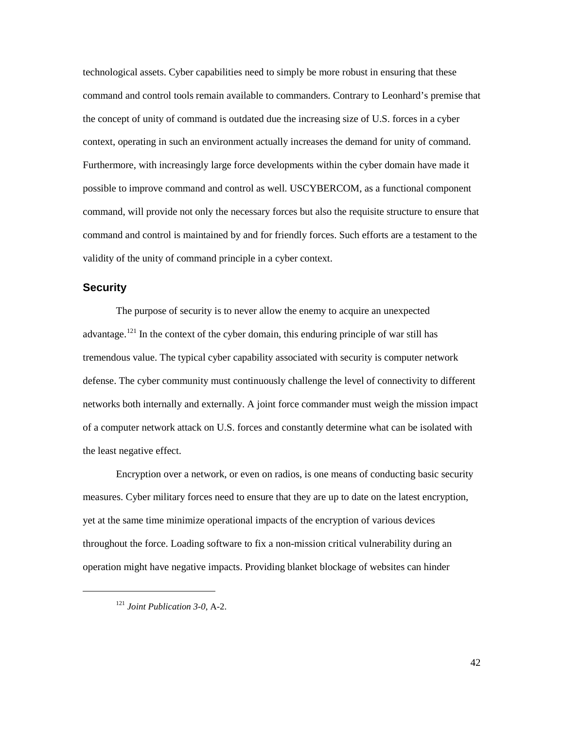technological assets. Cyber capabilities need to simply be more robust in ensuring that these command and control tools remain available to commanders. Contrary to Leonhard's premise that the concept of unity of command is outdated due the increasing size of U.S. forces in a cyber context, operating in such an environment actually increases the demand for unity of command. Furthermore, with increasingly large force developments within the cyber domain have made it possible to improve command and control as well. USCYBERCOM, as a functional component command, will provide not only the necessary forces but also the requisite structure to ensure that command and control is maintained by and for friendly forces. Such efforts are a testament to the validity of the unity of command principle in a cyber context.

#### <span id="page-47-0"></span>**Security**

<span id="page-47-1"></span> $\overline{a}$ 

The purpose of security is to never allow the enemy to acquire an unexpected advantage.<sup>[121](#page-47-1)</sup> In the context of the cyber domain, this enduring principle of war still has tremendous value. The typical cyber capability associated with security is computer network defense. The cyber community must continuously challenge the level of connectivity to different networks both internally and externally. A joint force commander must weigh the mission impact of a computer network attack on U.S. forces and constantly determine what can be isolated with the least negative effect.

Encryption over a network, or even on radios, is one means of conducting basic security measures. Cyber military forces need to ensure that they are up to date on the latest encryption, yet at the same time minimize operational impacts of the encryption of various devices throughout the force. Loading software to fix a non-mission critical vulnerability during an operation might have negative impacts. Providing blanket blockage of websites can hinder

<sup>121</sup> *Joint Publication 3-0*, A-2.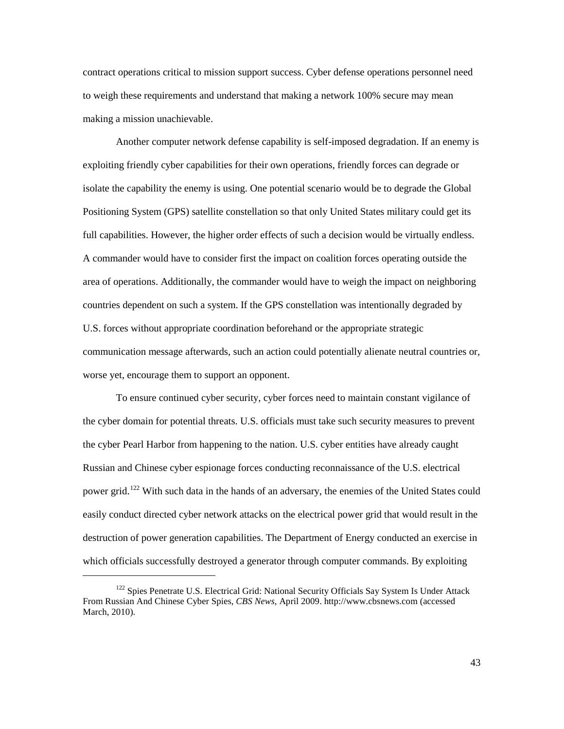contract operations critical to mission support success. Cyber defense operations personnel need to weigh these requirements and understand that making a network 100% secure may mean making a mission unachievable.

Another computer network defense capability is self-imposed degradation. If an enemy is exploiting friendly cyber capabilities for their own operations, friendly forces can degrade or isolate the capability the enemy is using. One potential scenario would be to degrade the Global Positioning System (GPS) satellite constellation so that only United States military could get its full capabilities. However, the higher order effects of such a decision would be virtually endless. A commander would have to consider first the impact on coalition forces operating outside the area of operations. Additionally, the commander would have to weigh the impact on neighboring countries dependent on such a system. If the GPS constellation was intentionally degraded by U.S. forces without appropriate coordination beforehand or the appropriate strategic communication message afterwards, such an action could potentially alienate neutral countries or, worse yet, encourage them to support an opponent.

To ensure continued cyber security, cyber forces need to maintain constant vigilance of the cyber domain for potential threats. U.S. officials must take such security measures to prevent the cyber Pearl Harbor from happening to the nation. U.S. cyber entities have already caught Russian and Chinese cyber espionage forces conducting reconnaissance of the U.S. electrical power grid.<sup>[122](#page-48-0)</sup> With such data in the hands of an adversary, the enemies of the United States could easily conduct directed cyber network attacks on the electrical power grid that would result in the destruction of power generation capabilities. The Department of Energy conducted an exercise in which officials successfully destroyed a generator through computer commands. By exploiting

<span id="page-48-0"></span><sup>&</sup>lt;sup>122</sup> Spies Penetrate U.S. Electrical Grid: National Security Officials Say System Is Under Attack From Russian And Chinese Cyber Spies, *CBS News*, April 2009. http://www.cbsnews.com (accessed March, 2010).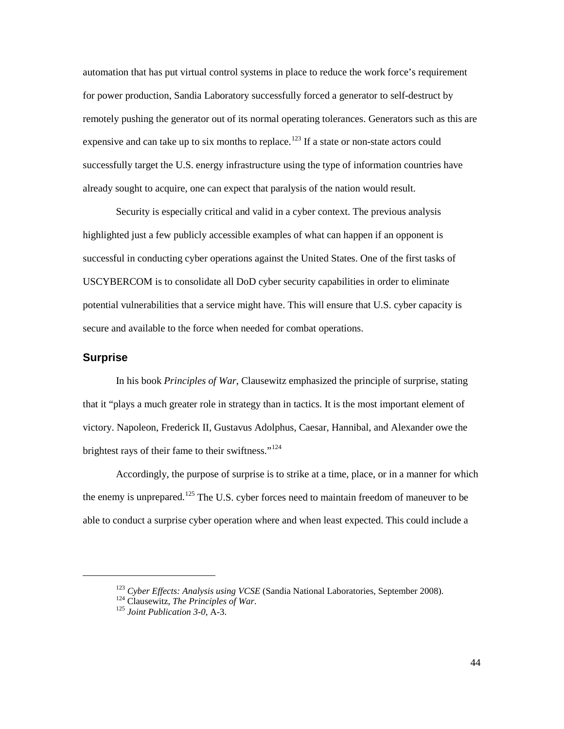automation that has put virtual control systems in place to reduce the work force's requirement for power production, Sandia Laboratory successfully forced a generator to self-destruct by remotely pushing the generator out of its normal operating tolerances. Generators such as this are expensive and can take up to six months to replace.<sup>[123](#page-49-1)</sup> If a state or non-state actors could successfully target the U.S. energy infrastructure using the type of information countries have already sought to acquire, one can expect that paralysis of the nation would result.

Security is especially critical and valid in a cyber context. The previous analysis highlighted just a few publicly accessible examples of what can happen if an opponent is successful in conducting cyber operations against the United States. One of the first tasks of USCYBERCOM is to consolidate all DoD cyber security capabilities in order to eliminate potential vulnerabilities that a service might have. This will ensure that U.S. cyber capacity is secure and available to the force when needed for combat operations.

#### <span id="page-49-0"></span>**Surprise**

<span id="page-49-3"></span><span id="page-49-2"></span><span id="page-49-1"></span> $\overline{a}$ 

In his book *Principles of War*, Clausewitz emphasized the principle of surprise, stating that it "plays a much greater role in strategy than in tactics. It is the most important element of victory. Napoleon, Frederick II, Gustavus Adolphus, Caesar, Hannibal, and Alexander owe the brightest rays of their fame to their swiftness."<sup>[124](#page-49-2)</sup>

Accordingly, the purpose of surprise is to strike at a time, place, or in a manner for which the enemy is unprepared.<sup>[125](#page-49-3)</sup> The U.S. cyber forces need to maintain freedom of maneuver to be able to conduct a surprise cyber operation where and when least expected. This could include a

<sup>&</sup>lt;sup>123</sup> *Cyber Effects: Analysis using VCSE* (Sandia National Laboratories, September 2008).

<sup>124</sup> Clausewitz, *The Principles of War*. 125 *Joint Publication 3-0*, A-3.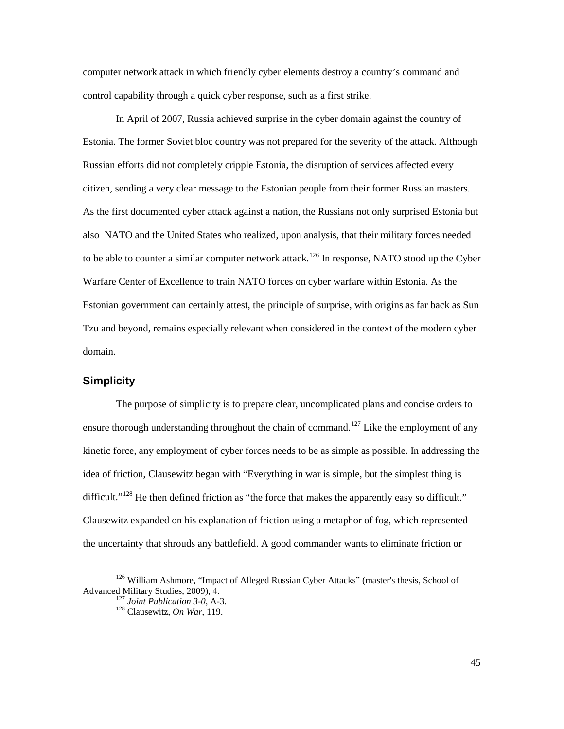computer network attack in which friendly cyber elements destroy a country's command and control capability through a quick cyber response, such as a first strike.

In April of 2007, Russia achieved surprise in the cyber domain against the country of Estonia. The former Soviet bloc country was not prepared for the severity of the attack. Although Russian efforts did not completely cripple Estonia, the disruption of services affected every citizen, sending a very clear message to the Estonian people from their former Russian masters. As the first documented cyber attack against a nation, the Russians not only surprised Estonia but also NATO and the United States who realized, upon analysis, that their military forces needed to be able to counter a similar computer network attack.<sup>[126](#page-50-1)</sup> In response, NATO stood up the Cyber Warfare Center of Excellence to train NATO forces on cyber warfare within Estonia. As the Estonian government can certainly attest, the principle of surprise, with origins as far back as Sun Tzu and beyond, remains especially relevant when considered in the context of the modern cyber domain.

#### <span id="page-50-0"></span>**Simplicity**

 $\overline{a}$ 

The purpose of simplicity is to prepare clear, uncomplicated plans and concise orders to ensure thorough understanding throughout the chain of command.<sup>127</sup> Like the employment of any kinetic force, any employment of cyber forces needs to be as simple as possible. In addressing the idea of friction, Clausewitz began with "Everything in war is simple, but the simplest thing is difficult."<sup>[128](#page-50-3)</sup> He then defined friction as "the force that makes the apparently easy so difficult." Clausewitz expanded on his explanation of friction using a metaphor of fog, which represented the uncertainty that shrouds any battlefield. A good commander wants to eliminate friction or

<span id="page-50-3"></span><span id="page-50-2"></span><span id="page-50-1"></span><sup>&</sup>lt;sup>126</sup> William Ashmore, "Impact of Alleged Russian Cyber Attacks" (master's thesis, School of Advanced Military Studies, 2009), 4.<br><sup>127</sup> Joint Publication 3-0, A-3.

<sup>&</sup>lt;sup>128</sup> Clausewitz, *On War*, 119.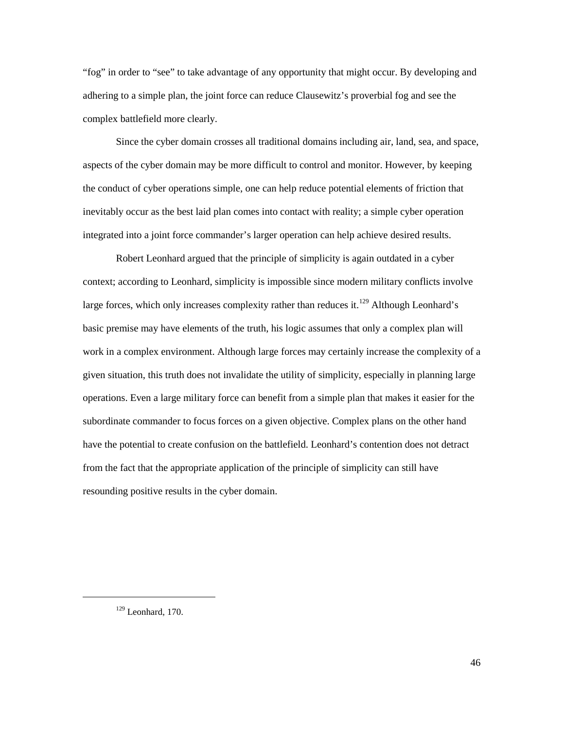"fog" in order to "see" to take advantage of any opportunity that might occur. By developing and adhering to a simple plan, the joint force can reduce Clausewitz's proverbial fog and see the complex battlefield more clearly.

Since the cyber domain crosses all traditional domains including air, land, sea, and space, aspects of the cyber domain may be more difficult to control and monitor. However, by keeping the conduct of cyber operations simple, one can help reduce potential elements of friction that inevitably occur as the best laid plan comes into contact with reality; a simple cyber operation integrated into a joint force commander's larger operation can help achieve desired results.

Robert Leonhard argued that the principle of simplicity is again outdated in a cyber context; according to Leonhard, simplicity is impossible since modern military conflicts involve large forces, which only increases complexity rather than reduces it.<sup>[129](#page-51-0)</sup> Although Leonhard's basic premise may have elements of the truth, his logic assumes that only a complex plan will work in a complex environment. Although large forces may certainly increase the complexity of a given situation, this truth does not invalidate the utility of simplicity, especially in planning large operations. Even a large military force can benefit from a simple plan that makes it easier for the subordinate commander to focus forces on a given objective. Complex plans on the other hand have the potential to create confusion on the battlefield. Leonhard's contention does not detract from the fact that the appropriate application of the principle of simplicity can still have resounding positive results in the cyber domain.

<span id="page-51-0"></span> $129$  Leonhard, 170.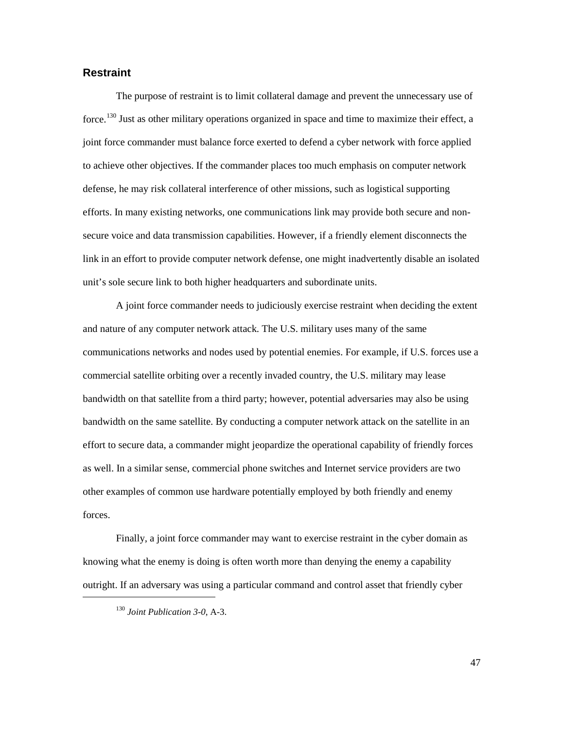#### <span id="page-52-0"></span>**Restraint**

The purpose of restraint is to limit collateral damage and prevent the unnecessary use of force.<sup>[130](#page-52-1)</sup> Just as other military operations organized in space and time to maximize their effect, a joint force commander must balance force exerted to defend a cyber network with force applied to achieve other objectives. If the commander places too much emphasis on computer network defense, he may risk collateral interference of other missions, such as logistical supporting efforts. In many existing networks, one communications link may provide both secure and nonsecure voice and data transmission capabilities. However, if a friendly element disconnects the link in an effort to provide computer network defense, one might inadvertently disable an isolated unit's sole secure link to both higher headquarters and subordinate units.

A joint force commander needs to judiciously exercise restraint when deciding the extent and nature of any computer network attack. The U.S. military uses many of the same communications networks and nodes used by potential enemies. For example, if U.S. forces use a commercial satellite orbiting over a recently invaded country, the U.S. military may lease bandwidth on that satellite from a third party; however, potential adversaries may also be using bandwidth on the same satellite. By conducting a computer network attack on the satellite in an effort to secure data, a commander might jeopardize the operational capability of friendly forces as well. In a similar sense, commercial phone switches and Internet service providers are two other examples of common use hardware potentially employed by both friendly and enemy forces.

Finally, a joint force commander may want to exercise restraint in the cyber domain as knowing what the enemy is doing is often worth more than denying the enemy a capability outright. If an adversary was using a particular command and control asset that friendly cyber

<span id="page-52-1"></span> $\overline{a}$ 

47

<sup>130</sup> *Joint Publication 3-0*, A-3.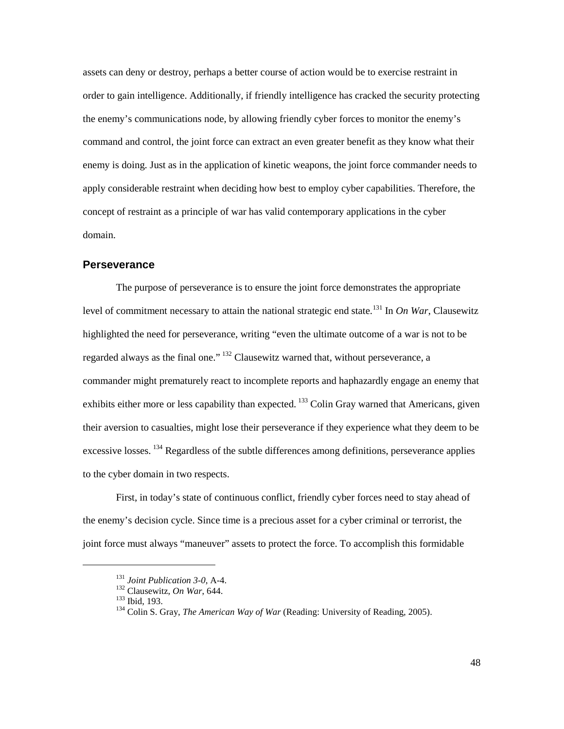assets can deny or destroy, perhaps a better course of action would be to exercise restraint in order to gain intelligence. Additionally, if friendly intelligence has cracked the security protecting the enemy's communications node, by allowing friendly cyber forces to monitor the enemy's command and control, the joint force can extract an even greater benefit as they know what their enemy is doing. Just as in the application of kinetic weapons, the joint force commander needs to apply considerable restraint when deciding how best to employ cyber capabilities. Therefore, the concept of restraint as a principle of war has valid contemporary applications in the cyber domain.

#### <span id="page-53-0"></span>**Perseverance**

The purpose of perseverance is to ensure the joint force demonstrates the appropriate level of commitment necessary to attain the national strategic end state.[131](#page-53-1) In *On War*, Clausewitz highlighted the need for perseverance, writing "even the ultimate outcome of a war is not to be regarded always as the final one." [132](#page-53-2) Clausewitz warned that, without perseverance, a commander might prematurely react to incomplete reports and haphazardly engage an enemy that exhibits either more or less capability than expected. <sup>[133](#page-53-3)</sup> Colin Gray warned that Americans, given their aversion to casualties, might lose their perseverance if they experience what they deem to be excessive losses. <sup>[134](#page-53-4)</sup> Regardless of the subtle differences among definitions, perseverance applies to the cyber domain in two respects.

First, in today's state of continuous conflict, friendly cyber forces need to stay ahead of the enemy's decision cycle. Since time is a precious asset for a cyber criminal or terrorist, the joint force must always "maneuver" assets to protect the force. To accomplish this formidable

<span id="page-53-3"></span><span id="page-53-2"></span>

<span id="page-53-4"></span>

<span id="page-53-1"></span><sup>&</sup>lt;sup>131</sup> *Joint Publication 3-0*, A-4.<br><sup>132</sup> Clausewitz, *On War*, 644.<br><sup>133</sup> Ibid, 193.<br><sup>134</sup> Colin S. Gray, *The American Way of War* (Reading: University of Reading, 2005).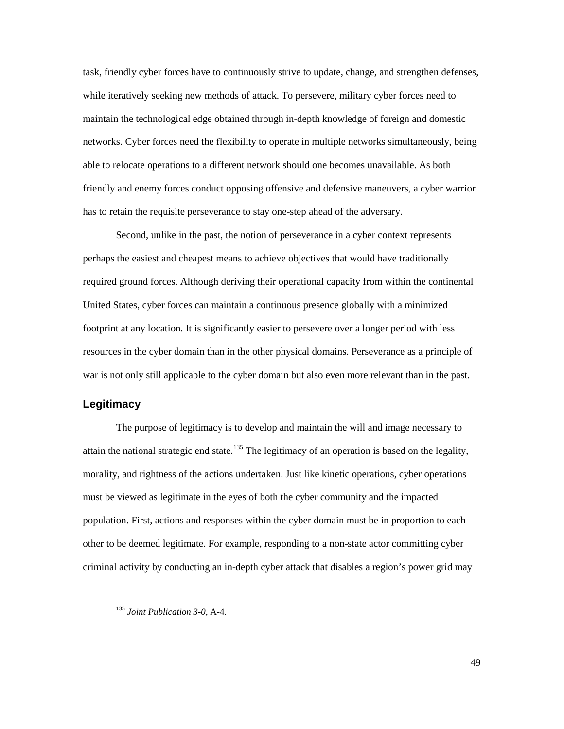task, friendly cyber forces have to continuously strive to update, change, and strengthen defenses, while iteratively seeking new methods of attack. To persevere, military cyber forces need to maintain the technological edge obtained through in-depth knowledge of foreign and domestic networks. Cyber forces need the flexibility to operate in multiple networks simultaneously, being able to relocate operations to a different network should one becomes unavailable. As both friendly and enemy forces conduct opposing offensive and defensive maneuvers, a cyber warrior has to retain the requisite perseverance to stay one-step ahead of the adversary.

Second, unlike in the past, the notion of perseverance in a cyber context represents perhaps the easiest and cheapest means to achieve objectives that would have traditionally required ground forces. Although deriving their operational capacity from within the continental United States, cyber forces can maintain a continuous presence globally with a minimized footprint at any location. It is significantly easier to persevere over a longer period with less resources in the cyber domain than in the other physical domains. Perseverance as a principle of war is not only still applicable to the cyber domain but also even more relevant than in the past.

#### <span id="page-54-0"></span>**Legitimacy**

<span id="page-54-1"></span> $\overline{a}$ 

The purpose of legitimacy is to develop and maintain the will and image necessary to attain the national strategic end state.<sup>[135](#page-54-1)</sup> The legitimacy of an operation is based on the legality, morality, and rightness of the actions undertaken. Just like kinetic operations, cyber operations must be viewed as legitimate in the eyes of both the cyber community and the impacted population. First, actions and responses within the cyber domain must be in proportion to each other to be deemed legitimate. For example, responding to a non-state actor committing cyber criminal activity by conducting an in-depth cyber attack that disables a region's power grid may

<sup>135</sup> *Joint Publication 3-0*, A-4.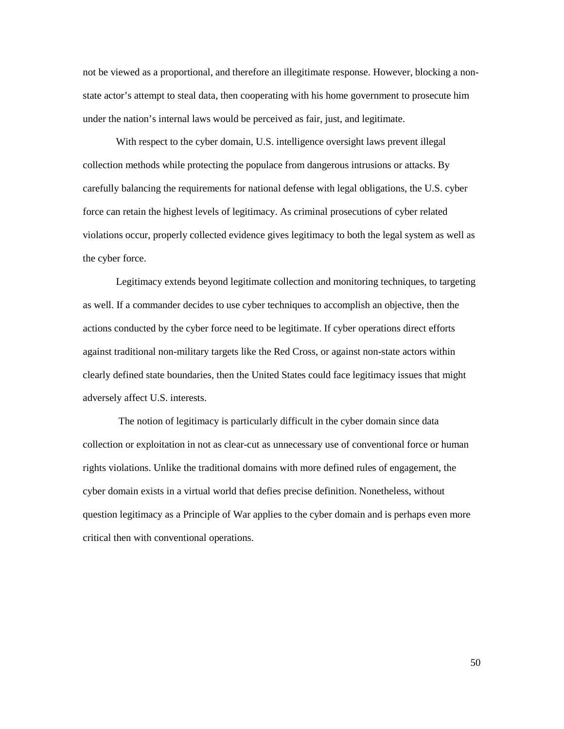not be viewed as a proportional, and therefore an illegitimate response. However, blocking a nonstate actor's attempt to steal data, then cooperating with his home government to prosecute him under the nation's internal laws would be perceived as fair, just, and legitimate.

With respect to the cyber domain, U.S. intelligence oversight laws prevent illegal collection methods while protecting the populace from dangerous intrusions or attacks. By carefully balancing the requirements for national defense with legal obligations, the U.S. cyber force can retain the highest levels of legitimacy. As criminal prosecutions of cyber related violations occur, properly collected evidence gives legitimacy to both the legal system as well as the cyber force.

Legitimacy extends beyond legitimate collection and monitoring techniques, to targeting as well. If a commander decides to use cyber techniques to accomplish an objective, then the actions conducted by the cyber force need to be legitimate. If cyber operations direct efforts against traditional non-military targets like the Red Cross, or against non-state actors within clearly defined state boundaries, then the United States could face legitimacy issues that might adversely affect U.S. interests.

The notion of legitimacy is particularly difficult in the cyber domain since data collection or exploitation in not as clear-cut as unnecessary use of conventional force or human rights violations. Unlike the traditional domains with more defined rules of engagement, the cyber domain exists in a virtual world that defies precise definition. Nonetheless, without question legitimacy as a Principle of War applies to the cyber domain and is perhaps even more critical then with conventional operations.

50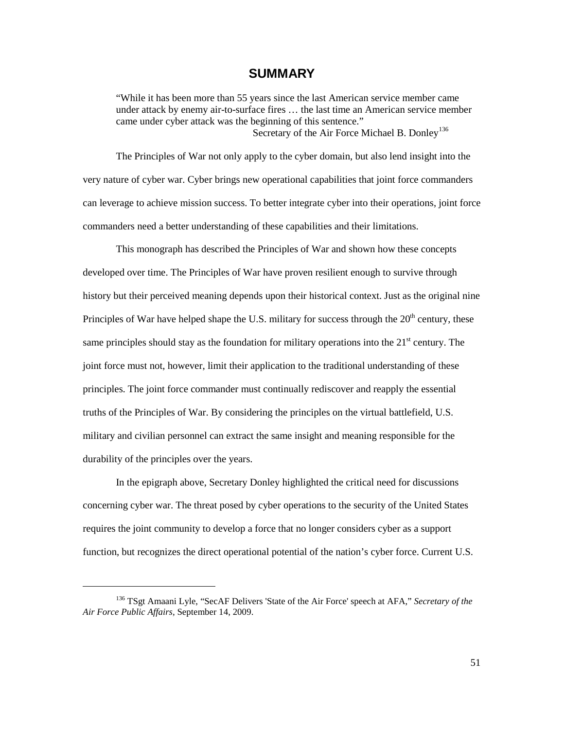### **SUMMARY**

<span id="page-56-0"></span>"While it has been more than 55 years since the last American service member came under attack by enemy air-to-surface fires … the last time an American service member came under cyber attack was the beginning of this sentence." Secretary of the Air Force Michael B. Donley<sup>[136](#page-56-1)</sup>

The Principles of War not only apply to the cyber domain, but also lend insight into the very nature of cyber war. Cyber brings new operational capabilities that joint force commanders can leverage to achieve mission success. To better integrate cyber into their operations, joint force commanders need a better understanding of these capabilities and their limitations.

This monograph has described the Principles of War and shown how these concepts developed over time. The Principles of War have proven resilient enough to survive through history but their perceived meaning depends upon their historical context. Just as the original nine Principles of War have helped shape the U.S. military for success through the  $20<sup>th</sup>$  century, these same principles should stay as the foundation for military operations into the  $21<sup>st</sup>$  century. The joint force must not, however, limit their application to the traditional understanding of these principles. The joint force commander must continually rediscover and reapply the essential truths of the Principles of War. By considering the principles on the virtual battlefield, U.S. military and civilian personnel can extract the same insight and meaning responsible for the durability of the principles over the years.

In the epigraph above, Secretary Donley highlighted the critical need for discussions concerning cyber war. The threat posed by cyber operations to the security of the United States requires the joint community to develop a force that no longer considers cyber as a support function, but recognizes the direct operational potential of the nation's cyber force. Current U.S.

<span id="page-56-1"></span><sup>136</sup> TSgt Amaani Lyle, "SecAF Delivers 'State of the Air Force' speech at AFA," *Secretary of the Air Force Public Affairs*, September 14, 2009.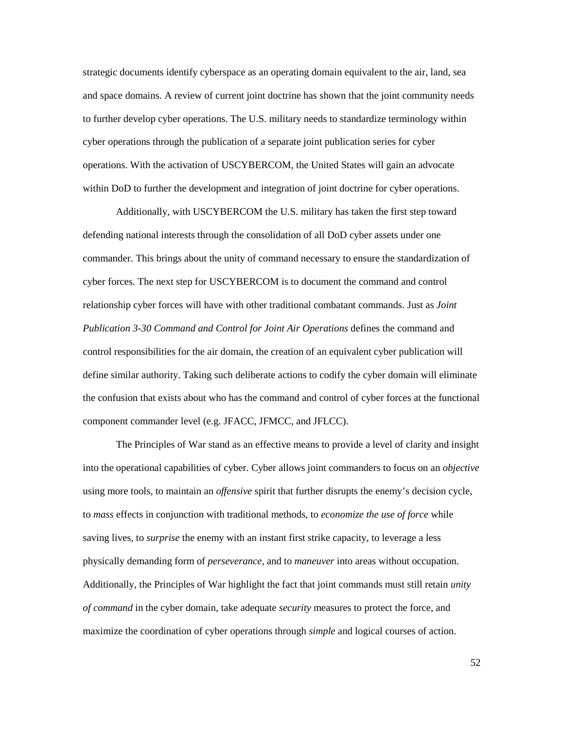strategic documents identify cyberspace as an operating domain equivalent to the air, land, sea and space domains. A review of current joint doctrine has shown that the joint community needs to further develop cyber operations. The U.S. military needs to standardize terminology within cyber operations through the publication of a separate joint publication series for cyber operations. With the activation of USCYBERCOM, the United States will gain an advocate within DoD to further the development and integration of joint doctrine for cyber operations.

Additionally, with USCYBERCOM the U.S. military has taken the first step toward defending national interests through the consolidation of all DoD cyber assets under one commander. This brings about the unity of command necessary to ensure the standardization of cyber forces. The next step for USCYBERCOM is to document the command and control relationship cyber forces will have with other traditional combatant commands. Just as *Joint Publication 3-30 Command and Control for Joint Air Operations* defines the command and control responsibilities for the air domain, the creation of an equivalent cyber publication will define similar authority. Taking such deliberate actions to codify the cyber domain will eliminate the confusion that exists about who has the command and control of cyber forces at the functional component commander level (e.g. JFACC, JFMCC, and JFLCC).

The Principles of War stand as an effective means to provide a level of clarity and insight into the operational capabilities of cyber. Cyber allows joint commanders to focus on an *objective* using more tools, to maintain an *offensive* spirit that further disrupts the enemy's decision cycle, to *mass* effects in conjunction with traditional methods, to *economize the use of force* while saving lives, to *surprise* the enemy with an instant first strike capacity, to leverage a less physically demanding form of *perseverance*, and to *maneuver* into areas without occupation. Additionally, the Principles of War highlight the fact that joint commands must still retain *unity of command* in the cyber domain, take adequate *security* measures to protect the force, and maximize the coordination of cyber operations through *simple* and logical courses of action.

52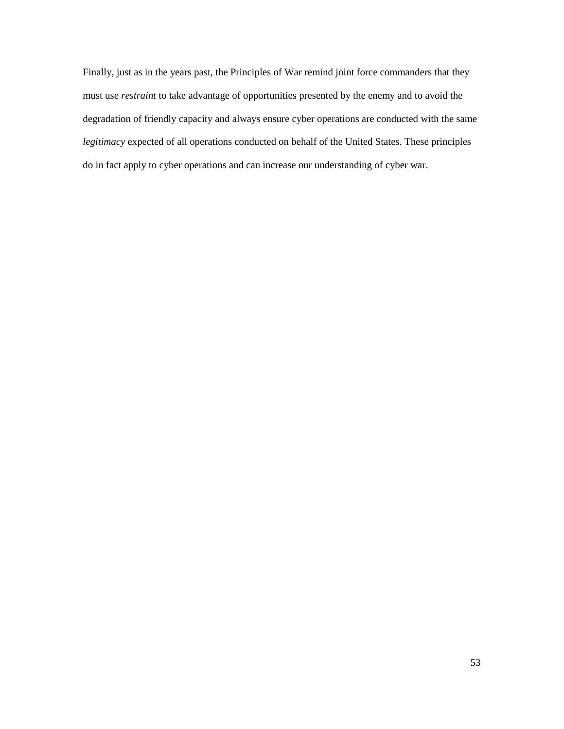Finally, just as in the years past, the Principles of War remind joint force commanders that they must use *restraint* to take advantage of opportunities presented by the enemy and to avoid the degradation of friendly capacity and always ensure cyber operations are conducted with the same *legitimacy* expected of all operations conducted on behalf of the United States. These principles do in fact apply to cyber operations and can increase our understanding of cyber war.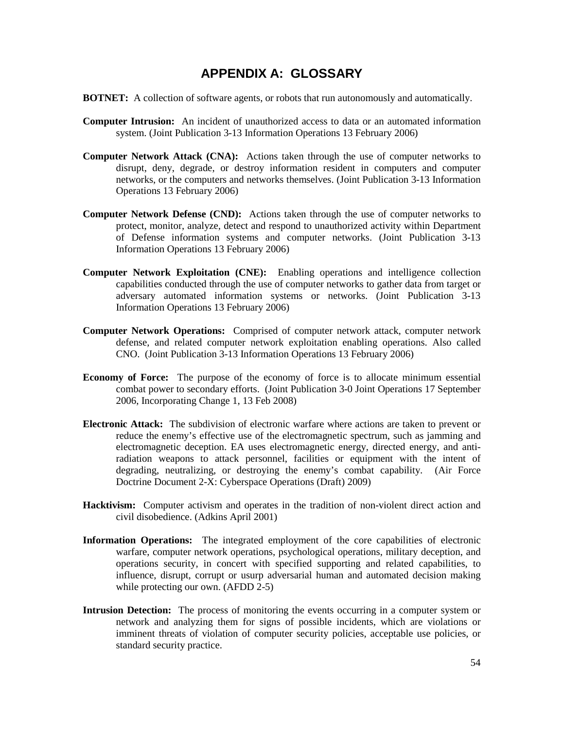# **APPENDIX A: GLOSSARY**

- <span id="page-59-0"></span>**BOTNET:** A collection of software agents, or robots that run autonomously and automatically.
- **Computer Intrusion:** An incident of unauthorized access to data or an automated information system. (Joint Publication 3-13 Information Operations 13 February 2006)
- **Computer Network Attack (CNA):** Actions taken through the use of computer networks to disrupt, deny, degrade, or destroy information resident in computers and computer networks, or the computers and networks themselves. (Joint Publication 3-13 Information Operations 13 February 2006)
- **Computer Network Defense (CND):** Actions taken through the use of computer networks to protect, monitor, analyze, detect and respond to unauthorized activity within Department of Defense information systems and computer networks. (Joint Publication 3-13 Information Operations 13 February 2006)
- **Computer Network Exploitation (CNE):** Enabling operations and intelligence collection capabilities conducted through the use of computer networks to gather data from target or adversary automated information systems or networks. (Joint Publication 3-13 Information Operations 13 February 2006)
- **Computer Network Operations:** Comprised of computer network attack, computer network defense, and related computer network exploitation enabling operations. Also called CNO. (Joint Publication 3-13 Information Operations 13 February 2006)
- **Economy of Force:** The purpose of the economy of force is to allocate minimum essential combat power to secondary efforts. (Joint Publication 3-0 Joint Operations 17 September 2006, Incorporating Change 1, 13 Feb 2008)
- **Electronic Attack:** The subdivision of electronic warfare where actions are taken to prevent or reduce the enemy's effective use of the electromagnetic spectrum, such as jamming and electromagnetic deception. EA uses electromagnetic energy, directed energy, and antiradiation weapons to attack personnel, facilities or equipment with the intent of degrading, neutralizing, or destroying the enemy's combat capability. (Air Force Doctrine Document 2-X: Cyberspace Operations (Draft) 2009)
- **Hacktivism:** Computer activism and operates in the tradition of non-violent direct action and civil disobedience. (Adkins April 2001)
- **Information Operations:** The integrated employment of the core capabilities of electronic warfare, computer network operations, psychological operations, military deception, and operations security, in concert with specified supporting and related capabilities, to influence, disrupt, corrupt or usurp adversarial human and automated decision making while protecting our own. (AFDD 2-5)
- **Intrusion Detection:** The process of monitoring the events occurring in a computer system or network and analyzing them for signs of possible incidents, which are violations or imminent threats of violation of computer security policies, acceptable use policies, or standard security practice.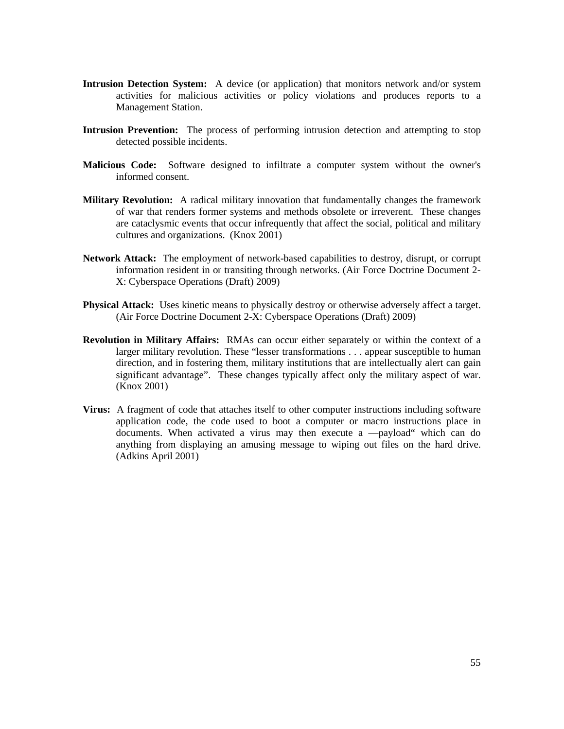- **Intrusion Detection System:** A device (or application) that monitors network and/or system activities for malicious activities or policy violations and produces reports to a Management Station.
- **Intrusion Prevention:** The process of performing intrusion detection and attempting to stop detected possible incidents.
- **Malicious Code:** Software designed to infiltrate a computer system without the owner's informed consent.
- **Military Revolution:** A radical military innovation that fundamentally changes the framework of war that renders former systems and methods obsolete or irreverent. These changes are cataclysmic events that occur infrequently that affect the social, political and military cultures and organizations. (Knox 2001)
- **Network Attack:** The employment of network-based capabilities to destroy, disrupt, or corrupt information resident in or transiting through networks. (Air Force Doctrine Document 2- X: Cyberspace Operations (Draft) 2009)
- **Physical Attack:** Uses kinetic means to physically destroy or otherwise adversely affect a target. (Air Force Doctrine Document 2-X: Cyberspace Operations (Draft) 2009)
- **Revolution in Military Affairs:** RMAs can occur either separately or within the context of a larger military revolution. These "lesser transformations . . . appear susceptible to human direction, and in fostering them, military institutions that are intellectually alert can gain significant advantage". These changes typically affect only the military aspect of war. (Knox 2001)
- **Virus:** A fragment of code that attaches itself to other computer instructions including software application code, the code used to boot a computer or macro instructions place in documents. When activated a virus may then execute a —payload" which can do anything from displaying an amusing message to wiping out files on the hard drive. (Adkins April 2001)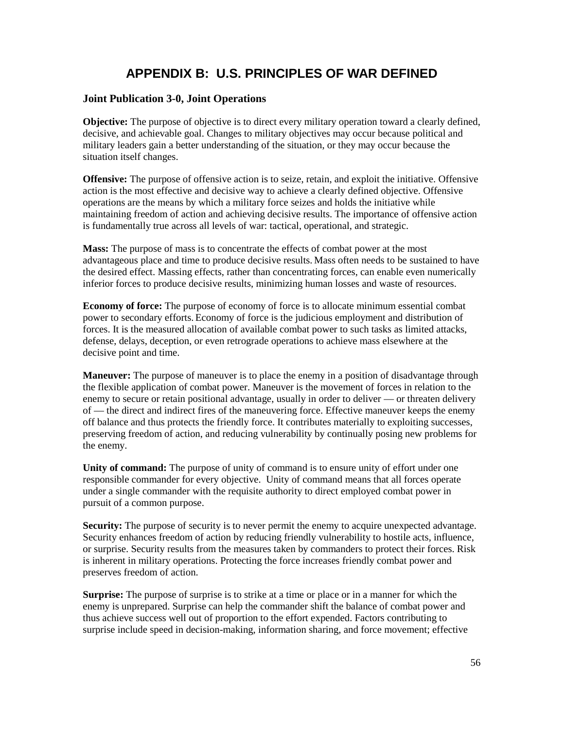# **APPENDIX B: U.S. PRINCIPLES OF WAR DEFINED**

#### <span id="page-61-0"></span>**Joint Publication 3-0, Joint Operations**

**Objective:** The purpose of objective is to direct every military operation toward a clearly defined, decisive, and achievable goal. Changes to military objectives may occur because political and military leaders gain a better understanding of the situation, or they may occur because the situation itself changes.

**Offensive:** The purpose of offensive action is to seize, retain, and exploit the initiative. Offensive action is the most effective and decisive way to achieve a clearly defined objective. Offensive operations are the means by which a military force seizes and holds the initiative while maintaining freedom of action and achieving decisive results. The importance of offensive action is fundamentally true across all levels of war: tactical, operational, and strategic.

**Mass:** The purpose of mass is to concentrate the effects of combat power at the most advantageous place and time to produce decisive results. Mass often needs to be sustained to have the desired effect. Massing effects, rather than concentrating forces, can enable even numerically inferior forces to produce decisive results, minimizing human losses and waste of resources.

**Economy of force:** The purpose of economy of force is to allocate minimum essential combat power to secondary efforts.Economy of force is the judicious employment and distribution of forces. It is the measured allocation of available combat power to such tasks as limited attacks, defense, delays, deception, or even retrograde operations to achieve mass elsewhere at the decisive point and time.

**Maneuver:** The purpose of maneuver is to place the enemy in a position of disadvantage through the flexible application of combat power. Maneuver is the movement of forces in relation to the enemy to secure or retain positional advantage, usually in order to deliver — or threaten delivery of — the direct and indirect fires of the maneuvering force. Effective maneuver keeps the enemy off balance and thus protects the friendly force. It contributes materially to exploiting successes, preserving freedom of action, and reducing vulnerability by continually posing new problems for the enemy.

**Unity of command:** The purpose of unity of command is to ensure unity of effort under one responsible commander for every objective. Unity of command means that all forces operate under a single commander with the requisite authority to direct employed combat power in pursuit of a common purpose.

**Security:** The purpose of security is to never permit the enemy to acquire unexpected advantage. Security enhances freedom of action by reducing friendly vulnerability to hostile acts, influence, or surprise. Security results from the measures taken by commanders to protect their forces. Risk is inherent in military operations. Protecting the force increases friendly combat power and preserves freedom of action.

**Surprise:** The purpose of surprise is to strike at a time or place or in a manner for which the enemy is unprepared. Surprise can help the commander shift the balance of combat power and thus achieve success well out of proportion to the effort expended. Factors contributing to surprise include speed in decision-making, information sharing, and force movement; effective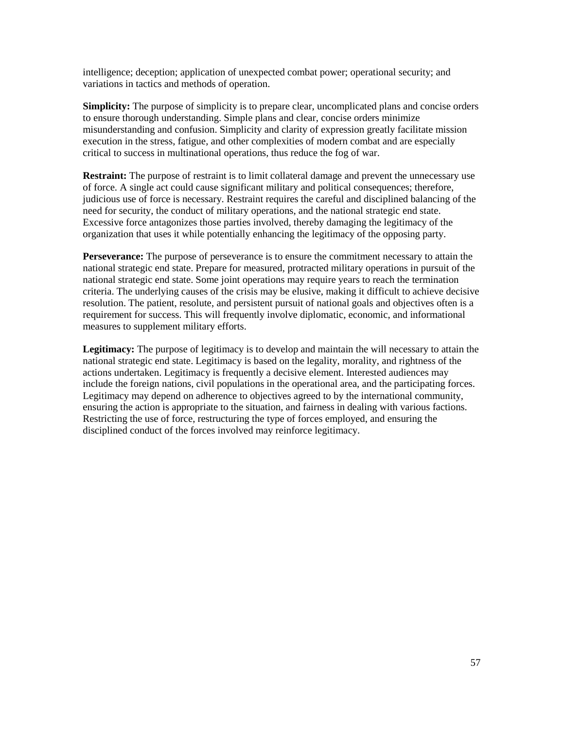intelligence; deception; application of unexpected combat power; operational security; and variations in tactics and methods of operation.

**Simplicity:** The purpose of simplicity is to prepare clear, uncomplicated plans and concise orders to ensure thorough understanding. Simple plans and clear, concise orders minimize misunderstanding and confusion. Simplicity and clarity of expression greatly facilitate mission execution in the stress, fatigue, and other complexities of modern combat and are especially critical to success in multinational operations, thus reduce the fog of war.

**Restraint:** The purpose of restraint is to limit collateral damage and prevent the unnecessary use of force. A single act could cause significant military and political consequences; therefore, judicious use of force is necessary. Restraint requires the careful and disciplined balancing of the need for security, the conduct of military operations, and the national strategic end state. Excessive force antagonizes those parties involved, thereby damaging the legitimacy of the organization that uses it while potentially enhancing the legitimacy of the opposing party.

**Perseverance:** The purpose of perseverance is to ensure the commitment necessary to attain the national strategic end state. Prepare for measured, protracted military operations in pursuit of the national strategic end state. Some joint operations may require years to reach the termination criteria. The underlying causes of the crisis may be elusive, making it difficult to achieve decisive resolution. The patient, resolute, and persistent pursuit of national goals and objectives often is a requirement for success. This will frequently involve diplomatic, economic, and informational measures to supplement military efforts.

**Legitimacy:** The purpose of legitimacy is to develop and maintain the will necessary to attain the national strategic end state. Legitimacy is based on the legality, morality, and rightness of the actions undertaken. Legitimacy is frequently a decisive element. Interested audiences may include the foreign nations, civil populations in the operational area, and the participating forces. Legitimacy may depend on adherence to objectives agreed to by the international community, ensuring the action is appropriate to the situation, and fairness in dealing with various factions. Restricting the use of force, restructuring the type of forces employed, and ensuring the disciplined conduct of the forces involved may reinforce legitimacy.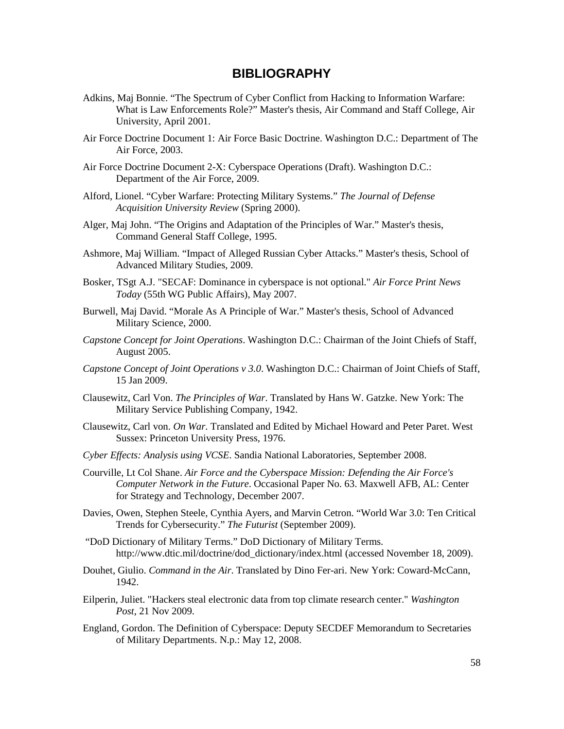#### **BIBLIOGRAPHY**

- <span id="page-63-0"></span>Adkins, Maj Bonnie. "The Spectrum of Cyber Conflict from Hacking to Information Warfare: What is Law Enforcements Role?" Master's thesis, Air Command and Staff College, Air University, April 2001.
- Air Force Doctrine Document 1: Air Force Basic Doctrine. Washington D.C.: Department of The Air Force, 2003.
- Air Force Doctrine Document 2-X: Cyberspace Operations (Draft). Washington D.C.: Department of the Air Force, 2009.
- Alford, Lionel. "Cyber Warfare: Protecting Military Systems." *The Journal of Defense Acquisition University Review* (Spring 2000).
- Alger, Maj John. "The Origins and Adaptation of the Principles of War." Master's thesis, Command General Staff College, 1995.
- Ashmore, Maj William. "Impact of Alleged Russian Cyber Attacks." Master's thesis, School of Advanced Military Studies, 2009.
- Bosker, TSgt A.J. "SECAF: Dominance in cyberspace is not optional." *Air Force Print News Today* (55th WG Public Affairs), May 2007.
- Burwell, Maj David. "Morale As A Principle of War." Master's thesis, School of Advanced Military Science, 2000.
- *Capstone Concept for Joint Operations*. Washington D.C.: Chairman of the Joint Chiefs of Staff, August 2005.
- *Capstone Concept of Joint Operations v 3.0*. Washington D.C.: Chairman of Joint Chiefs of Staff, 15 Jan 2009.
- Clausewitz, Carl Von. *The Principles of War*. Translated by Hans W. Gatzke. New York: The Military Service Publishing Company, 1942.
- Clausewitz, Carl von. *On War*. Translated and Edited by Michael Howard and Peter Paret. West Sussex: Princeton University Press, 1976.
- *Cyber Effects: Analysis using VCSE*. Sandia National Laboratories, September 2008.
- Courville, Lt Col Shane. *Air Force and the Cyberspace Mission: Defending the Air Force's Computer Network in the Future*. Occasional Paper No. 63. Maxwell AFB, AL: Center for Strategy and Technology, December 2007.
- Davies, Owen, Stephen Steele, Cynthia Ayers, and Marvin Cetron. "World War 3.0: Ten Critical Trends for Cybersecurity." *The Futurist* (September 2009).
- "DoD Dictionary of Military Terms." DoD Dictionary of Military Terms. http://www.dtic.mil/doctrine/dod\_dictionary/index.html (accessed November 18, 2009).
- Douhet, Giulio. *Command in the Air*. Translated by Dino Fer-ari. New York: Coward-McCann, 1942.
- Eilperin, Juliet. "Hackers steal electronic data from top climate research center." *Washington Post*, 21 Nov 2009.
- England, Gordon. The Definition of Cyberspace: Deputy SECDEF Memorandum to Secretaries of Military Departments. N.p.: May 12, 2008.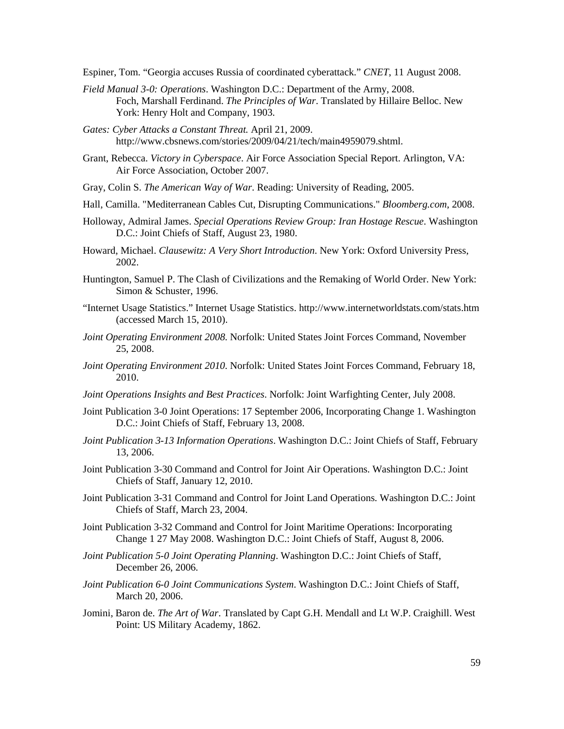Espiner, Tom. "Georgia accuses Russia of coordinated cyberattack." *CNET*, 11 August 2008.

- *Field Manual 3-0: Operations*. Washington D.C.: Department of the Army, 2008. Foch, Marshall Ferdinand. *The Principles of War*. Translated by Hillaire Belloc. New York: Henry Holt and Company, 1903.
- *Gates: Cyber Attacks a Constant Threat.* April 21, 2009. http://www.cbsnews.com/stories/2009/04/21/tech/main4959079.shtml.
- Grant, Rebecca. *Victory in Cyberspace*. Air Force Association Special Report. Arlington, VA: Air Force Association, October 2007.
- Gray, Colin S. *The American Way of War*. Reading: University of Reading, 2005.
- Hall, Camilla. "Mediterranean Cables Cut, Disrupting Communications." *Bloomberg.com*, 2008.
- Holloway, Admiral James. *Special Operations Review Group: Iran Hostage Rescue*. Washington D.C.: Joint Chiefs of Staff, August 23, 1980.
- Howard, Michael. *Clausewitz: A Very Short Introduction*. New York: Oxford University Press, 2002.
- Huntington, Samuel P. The Clash of Civilizations and the Remaking of World Order. New York: Simon & Schuster, 1996.
- "Internet Usage Statistics." Internet Usage Statistics. http://www.internetworldstats.com/stats.htm (accessed March 15, 2010).
- *Joint Operating Environment 2008*. Norfolk: United States Joint Forces Command, November 25, 2008.
- *Joint Operating Environment 2010*. Norfolk: United States Joint Forces Command, February 18, 2010.
- *Joint Operations Insights and Best Practices*. Norfolk: Joint Warfighting Center, July 2008.
- Joint Publication 3-0 Joint Operations: 17 September 2006, Incorporating Change 1. Washington D.C.: Joint Chiefs of Staff, February 13, 2008.
- *Joint Publication 3-13 Information Operations*. Washington D.C.: Joint Chiefs of Staff, February 13, 2006.
- Joint Publication 3-30 Command and Control for Joint Air Operations. Washington D.C.: Joint Chiefs of Staff, January 12, 2010.
- Joint Publication 3-31 Command and Control for Joint Land Operations. Washington D.C.: Joint Chiefs of Staff, March 23, 2004.
- Joint Publication 3-32 Command and Control for Joint Maritime Operations: Incorporating Change 1 27 May 2008. Washington D.C.: Joint Chiefs of Staff, August 8, 2006.
- *Joint Publication 5-0 Joint Operating Planning*. Washington D.C.: Joint Chiefs of Staff, December 26, 2006.
- *Joint Publication 6-0 Joint Communications System*. Washington D.C.: Joint Chiefs of Staff, March 20, 2006.
- Jomini, Baron de. *The Art of War*. Translated by Capt G.H. Mendall and Lt W.P. Craighill. West Point: US Military Academy, 1862.